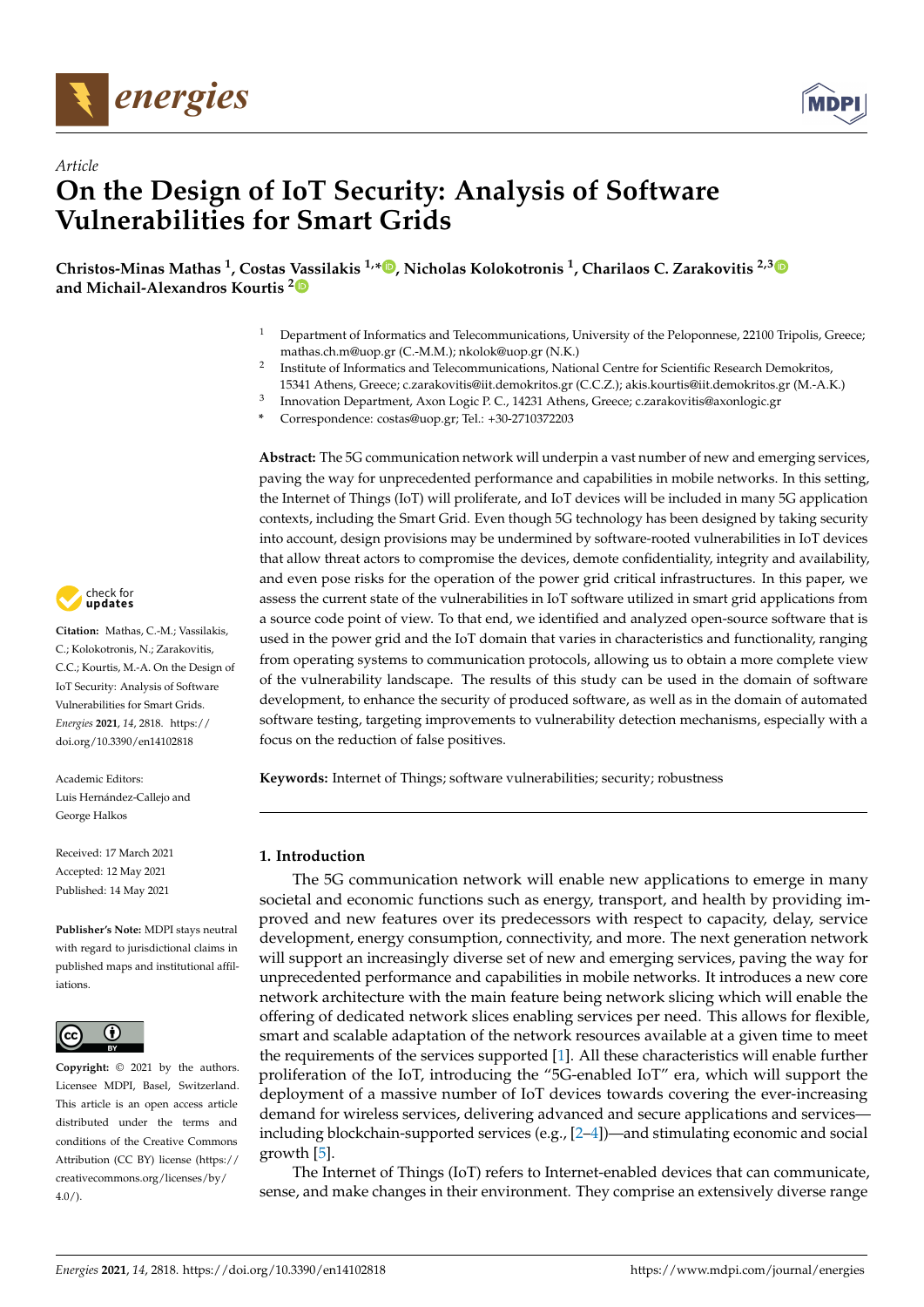



# *Article* **On the Design of IoT Security: Analysis of Software Vulnerabilities for Smart Grids**

**Christos-Minas Mathas <sup>1</sup> , Costas Vassilakis 1,[\\*](https://orcid.org/0000-0001-9940-1821) , Nicholas Kolokotronis <sup>1</sup> , Charilaos C. Zarakovitis 2,[3](https://orcid.org/0000-0001-8729-0378) and Michail-Alexandros Kourtis [2](https://orcid.org/0000-0002-8356-114X)**

- <sup>1</sup> Department of Informatics and Telecommunications, University of the Peloponnese, 22100 Tripolis, Greece; mathas.ch.m@uop.gr (C.-M.M.); nkolok@uop.gr (N.K.)
- 2 Institute of Informatics and Telecommunications, National Centre for Scientific Research Demokritos,

Innovation Department, Axon Logic P. C., 14231 Athens, Greece; c.zarakovitis@axonlogic.gr

**\*** Correspondence: costas@uop.gr; Tel.: +30-2710372203

**Abstract:** The 5G communication network will underpin a vast number of new and emerging services, paving the way for unprecedented performance and capabilities in mobile networks. In this setting, the Internet of Things (IoT) will proliferate, and IoT devices will be included in many 5G application contexts, including the Smart Grid. Even though 5G technology has been designed by taking security into account, design provisions may be undermined by software-rooted vulnerabilities in IoT devices that allow threat actors to compromise the devices, demote confidentiality, integrity and availability, and even pose risks for the operation of the power grid critical infrastructures. In this paper, we assess the current state of the vulnerabilities in IoT software utilized in smart grid applications from a source code point of view. To that end, we identified and analyzed open-source software that is used in the power grid and the IoT domain that varies in characteristics and functionality, ranging from operating systems to communication protocols, allowing us to obtain a more complete view of the vulnerability landscape. The results of this study can be used in the domain of software development, to enhance the security of produced software, as well as in the domain of automated software testing, targeting improvements to vulnerability detection mechanisms, especially with a focus on the reduction of false positives.

**Keywords:** Internet of Things; software vulnerabilities; security; robustness

## **1. Introduction**

3

The 5G communication network will enable new applications to emerge in many societal and economic functions such as energy, transport, and health by providing improved and new features over its predecessors with respect to capacity, delay, service development, energy consumption, connectivity, and more. The next generation network will support an increasingly diverse set of new and emerging services, paving the way for unprecedented performance and capabilities in mobile networks. It introduces a new core network architecture with the main feature being network slicing which will enable the offering of dedicated network slices enabling services per need. This allows for flexible, smart and scalable adaptation of the network resources available at a given time to meet the requirements of the services supported [\[1\]](#page-22-0). All these characteristics will enable further proliferation of the IoT, introducing the "5G-enabled IoT" era, which will support the deployment of a massive number of IoT devices towards covering the ever-increasing demand for wireless services, delivering advanced and secure applications and services including blockchain-supported services (e.g., [\[2–](#page-22-1)[4\]](#page-22-2))—and stimulating economic and social growth [\[5\]](#page-22-3).

The Internet of Things (IoT) refers to Internet-enabled devices that can communicate, sense, and make changes in their environment. They comprise an extensively diverse range



**Citation:** Mathas, C.-M.; Vassilakis, C.; Kolokotronis, N.; Zarakovitis, C.C.; Kourtis, M.-A. On the Design of IoT Security: Analysis of Software Vulnerabilities for Smart Grids. *Energies* **2021**, *14*, 2818. [https://](https://doi.org/10.3390/en14102818) [doi.org/10.3390/en14102818](https://doi.org/10.3390/en14102818)

Academic Editors: Luis Hernández-Callejo and George Halkos

Received: 17 March 2021 Accepted: 12 May 2021 Published: 14 May 2021

**Publisher's Note:** MDPI stays neutral with regard to jurisdictional claims in published maps and institutional affiliations.



**Copyright:** © 2021 by the authors. Licensee MDPI, Basel, Switzerland. This article is an open access article distributed under the terms and conditions of the Creative Commons Attribution (CC BY) license (https:/[/](https://creativecommons.org/licenses/by/4.0/) [creativecommons.org/licenses/by/](https://creativecommons.org/licenses/by/4.0/)  $4.0/$ ).

<sup>15341</sup> Athens, Greece; c.zarakovitis@iit.demokritos.gr (C.C.Z.); akis.kourtis@iit.demokritos.gr (M.-A.K.)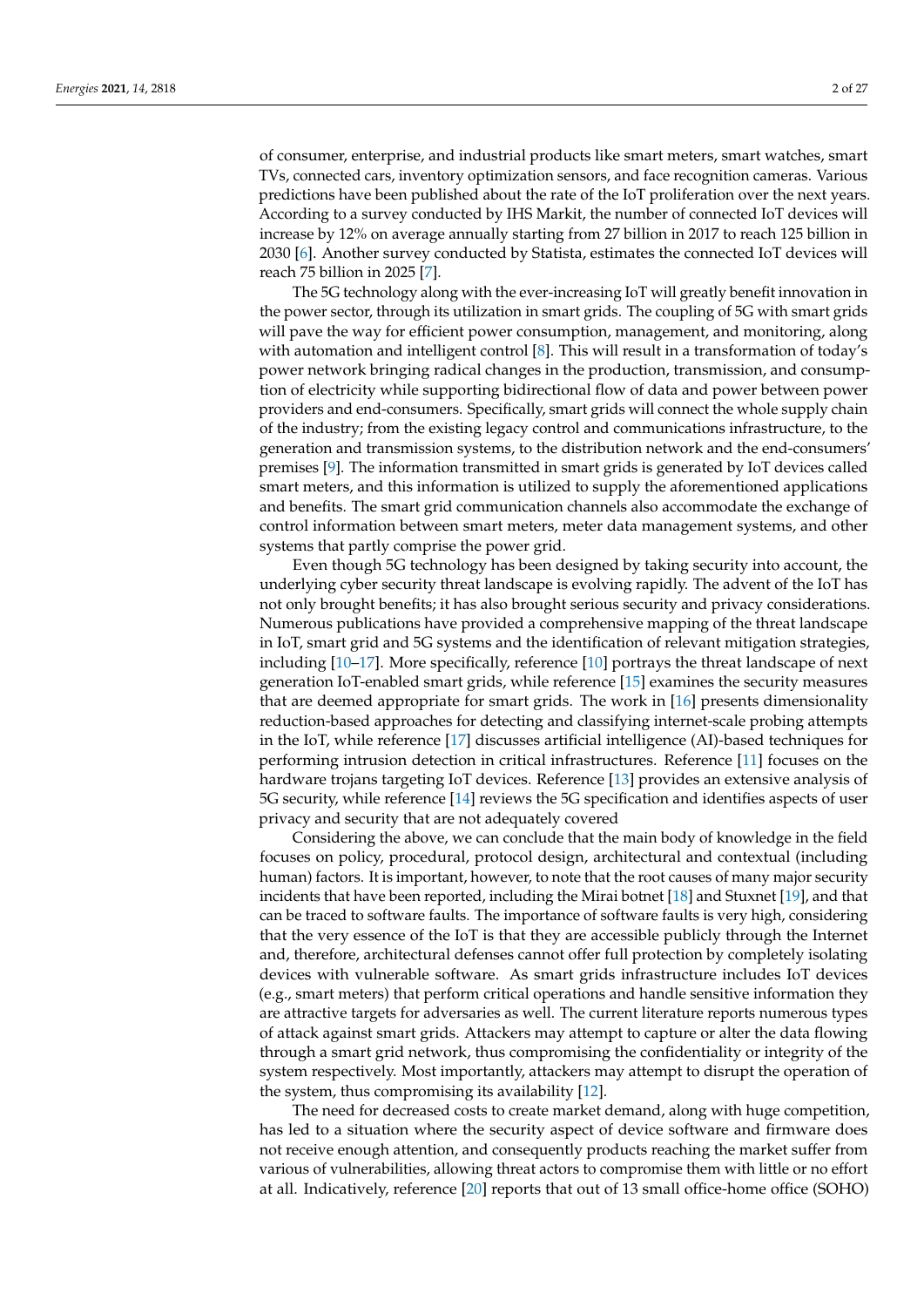of consumer, enterprise, and industrial products like smart meters, smart watches, smart TVs, connected cars, inventory optimization sensors, and face recognition cameras. Various predictions have been published about the rate of the IoT proliferation over the next years. According to a survey conducted by IHS Markit, the number of connected IoT devices will increase by 12% on average annually starting from 27 billion in 2017 to reach 125 billion in 2030 [\[6\]](#page-22-4). Another survey conducted by Statista, estimates the connected IoT devices will reach 75 billion in 2025 [\[7\]](#page-22-5).

The 5G technology along with the ever-increasing IoT will greatly benefit innovation in the power sector, through its utilization in smart grids. The coupling of 5G with smart grids will pave the way for efficient power consumption, management, and monitoring, along with automation and intelligent control [\[8\]](#page-22-6). This will result in a transformation of today's power network bringing radical changes in the production, transmission, and consumption of electricity while supporting bidirectional flow of data and power between power providers and end-consumers. Specifically, smart grids will connect the whole supply chain of the industry; from the existing legacy control and communications infrastructure, to the generation and transmission systems, to the distribution network and the end-consumers' premises [\[9\]](#page-22-7). The information transmitted in smart grids is generated by IoT devices called smart meters, and this information is utilized to supply the aforementioned applications and benefits. The smart grid communication channels also accommodate the exchange of control information between smart meters, meter data management systems, and other systems that partly comprise the power grid.

Even though 5G technology has been designed by taking security into account, the underlying cyber security threat landscape is evolving rapidly. The advent of the IoT has not only brought benefits; it has also brought serious security and privacy considerations. Numerous publications have provided a comprehensive mapping of the threat landscape in IoT, smart grid and 5G systems and the identification of relevant mitigation strategies, including [\[10–](#page-22-8)[17\]](#page-23-0). More specifically, reference [\[10\]](#page-22-8) portrays the threat landscape of next generation IoT-enabled smart grids, while reference [\[15\]](#page-23-1) examines the security measures that are deemed appropriate for smart grids. The work in [\[16\]](#page-23-2) presents dimensionality reduction-based approaches for detecting and classifying internet-scale probing attempts in the IoT, while reference [\[17\]](#page-23-0) discusses artificial intelligence (AI)-based techniques for performing intrusion detection in critical infrastructures. Reference [\[11\]](#page-22-9) focuses on the hardware trojans targeting IoT devices. Reference [\[13\]](#page-23-3) provides an extensive analysis of 5G security, while reference [\[14\]](#page-23-4) reviews the 5G specification and identifies aspects of user privacy and security that are not adequately covered

Considering the above, we can conclude that the main body of knowledge in the field focuses on policy, procedural, protocol design, architectural and contextual (including human) factors. It is important, however, to note that the root causes of many major security incidents that have been reported, including the Mirai botnet [\[18\]](#page-23-5) and Stuxnet [\[19\]](#page-23-6), and that can be traced to software faults. The importance of software faults is very high, considering that the very essence of the IoT is that they are accessible publicly through the Internet and, therefore, architectural defenses cannot offer full protection by completely isolating devices with vulnerable software. As smart grids infrastructure includes IoT devices (e.g., smart meters) that perform critical operations and handle sensitive information they are attractive targets for adversaries as well. The current literature reports numerous types of attack against smart grids. Attackers may attempt to capture or alter the data flowing through a smart grid network, thus compromising the confidentiality or integrity of the system respectively. Most importantly, attackers may attempt to disrupt the operation of the system, thus compromising its availability [\[12\]](#page-23-7).

The need for decreased costs to create market demand, along with huge competition, has led to a situation where the security aspect of device software and firmware does not receive enough attention, and consequently products reaching the market suffer from various of vulnerabilities, allowing threat actors to compromise them with little or no effort at all. Indicatively, reference [\[20\]](#page-23-8) reports that out of 13 small office-home office (SOHO)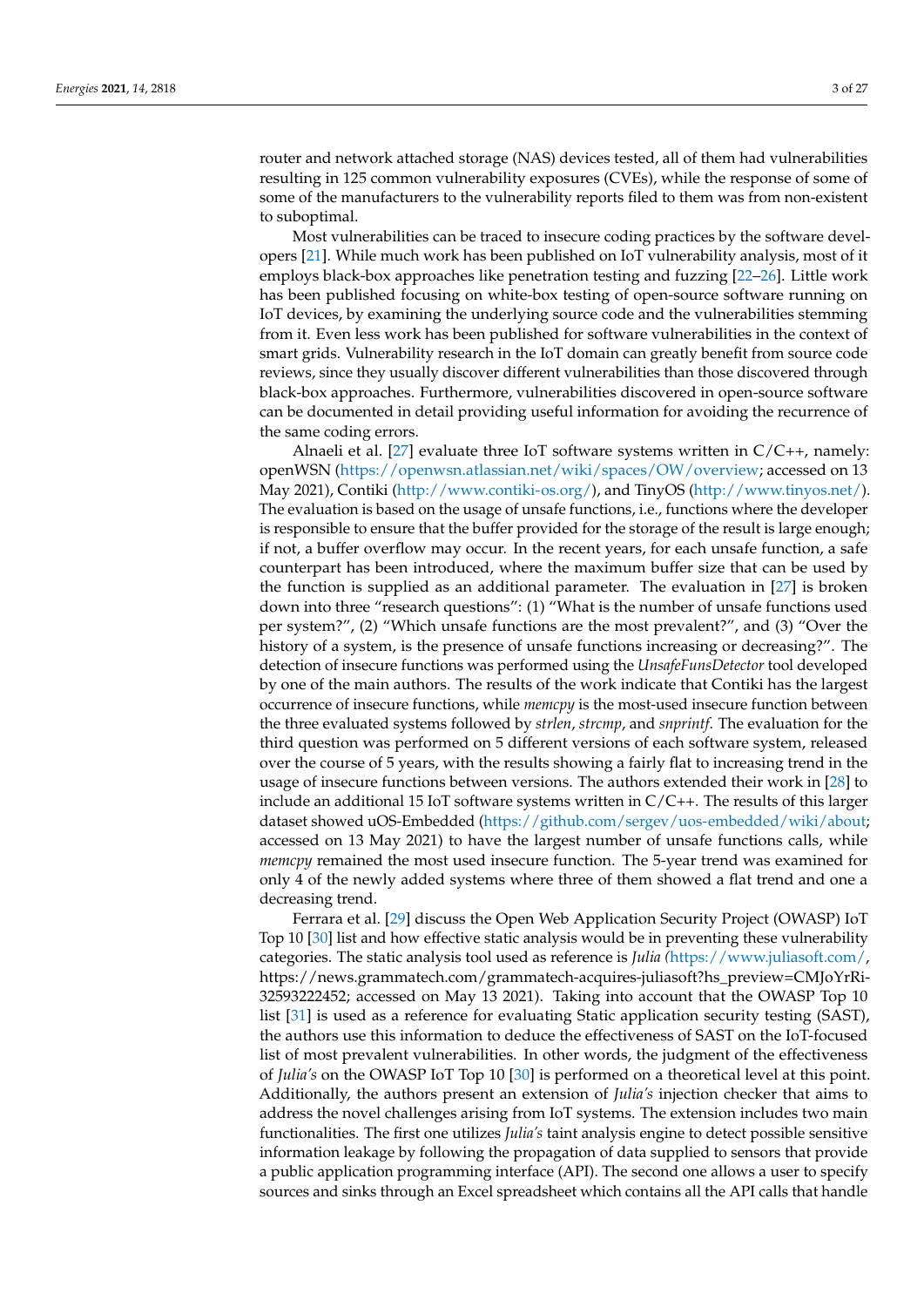router and network attached storage (NAS) devices tested, all of them had vulnerabilities resulting in 125 common vulnerability exposures (CVEs), while the response of some of some of the manufacturers to the vulnerability reports filed to them was from non-existent to suboptimal.

Most vulnerabilities can be traced to insecure coding practices by the software developers [\[21\]](#page-23-9). While much work has been published on IoT vulnerability analysis, most of it employs black-box approaches like penetration testing and fuzzing [\[22](#page-23-10)[–26\]](#page-23-11). Little work has been published focusing on white-box testing of open-source software running on IoT devices, by examining the underlying source code and the vulnerabilities stemming from it. Even less work has been published for software vulnerabilities in the context of smart grids. Vulnerability research in the IoT domain can greatly benefit from source code reviews, since they usually discover different vulnerabilities than those discovered through black-box approaches. Furthermore, vulnerabilities discovered in open-source software can be documented in detail providing useful information for avoiding the recurrence of the same coding errors.

Alnaeli et al. [\[27\]](#page-23-12) evaluate three IoT software systems written in  $C/C++$ , namely: openWSN [\(https://openwsn.atlassian.net/wiki/spaces/OW/overview;](https://openwsn.atlassian.net/wiki/spaces/OW/overview) accessed on 13 May 2021), Contiki [\(http://www.contiki-os.org/\)](http://www.contiki-os.org/), and TinyOS [\(http://www.tinyos.net/\)](http://www.tinyos.net/). The evaluation is based on the usage of unsafe functions, i.e., functions where the developer is responsible to ensure that the buffer provided for the storage of the result is large enough; if not, a buffer overflow may occur. In the recent years, for each unsafe function, a safe counterpart has been introduced, where the maximum buffer size that can be used by the function is supplied as an additional parameter. The evaluation in [\[27\]](#page-23-12) is broken down into three "research questions": (1) "What is the number of unsafe functions used per system?", (2) "Which unsafe functions are the most prevalent?", and (3) "Over the history of a system, is the presence of unsafe functions increasing or decreasing?". The detection of insecure functions was performed using the *UnsafeFunsDetector* tool developed by one of the main authors. The results of the work indicate that Contiki has the largest occurrence of insecure functions, while *memcpy* is the most-used insecure function between the three evaluated systems followed by *strlen*, *strcmp*, and *snprintf*. The evaluation for the third question was performed on 5 different versions of each software system, released over the course of 5 years, with the results showing a fairly flat to increasing trend in the usage of insecure functions between versions. The authors extended their work in [\[28\]](#page-23-13) to include an additional 15 IoT software systems written in  $C/C++$ . The results of this larger dataset showed uOS-Embedded [\(https://github.com/sergev/uos-embedded/wiki/about;](https://github.com/sergev/uos-embedded/wiki/about) accessed on 13 May 2021) to have the largest number of unsafe functions calls, while *memcpy* remained the most used insecure function. The 5-year trend was examined for only 4 of the newly added systems where three of them showed a flat trend and one a decreasing trend.

Ferrara et al. [\[29\]](#page-23-14) discuss the Open Web Application Security Project (OWASP) IoT Top 10 [\[30\]](#page-23-15) list and how effective static analysis would be in preventing these vulnerability categories. The static analysis tool used as reference is *Julia (*[https://www.juliasoft.com/,](https://www.juliasoft.com/) https://news.grammatech.com/grammatech-acquires-juliasoft?hs\_preview=CMJoYrRi-32593222452; accessed on May 13 2021). Taking into account that the OWASP Top 10 list [\[31\]](#page-23-16) is used as a reference for evaluating Static application security testing (SAST), the authors use this information to deduce the effectiveness of SAST on the IoT-focused list of most prevalent vulnerabilities. In other words, the judgment of the effectiveness of *Julia's* on the OWASP IoT Top 10 [\[30\]](#page-23-15) is performed on a theoretical level at this point. Additionally, the authors present an extension of *Julia's* injection checker that aims to address the novel challenges arising from IoT systems. The extension includes two main functionalities. The first one utilizes *Julia's* taint analysis engine to detect possible sensitive information leakage by following the propagation of data supplied to sensors that provide a public application programming interface (API). The second one allows a user to specify sources and sinks through an Excel spreadsheet which contains all the API calls that handle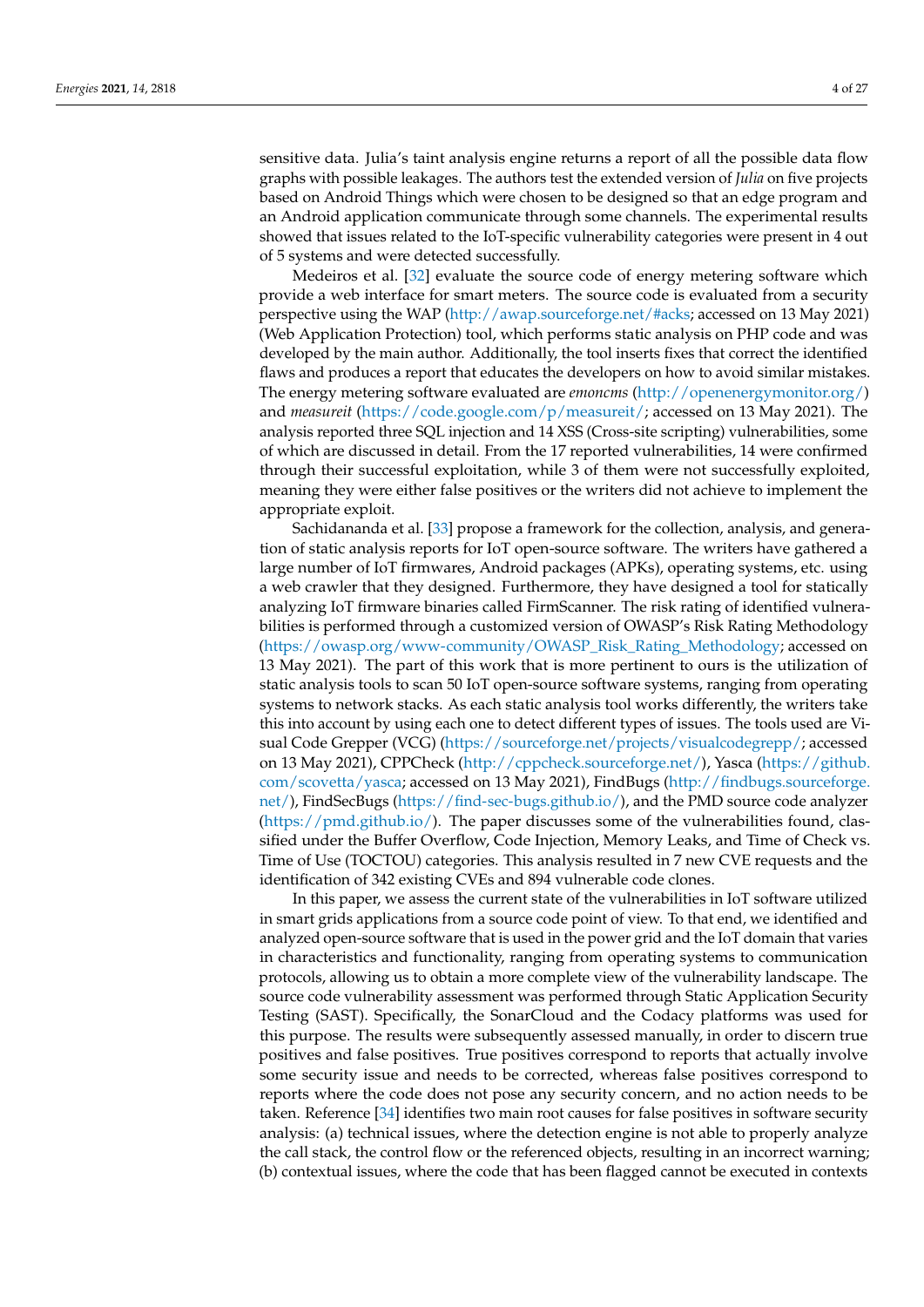sensitive data. Julia's taint analysis engine returns a report of all the possible data flow graphs with possible leakages. The authors test the extended version of *Julia* on five projects based on Android Things which were chosen to be designed so that an edge program and an Android application communicate through some channels. The experimental results showed that issues related to the IoT-specific vulnerability categories were present in 4 out of 5 systems and were detected successfully.

Medeiros et al. [\[32\]](#page-23-17) evaluate the source code of energy metering software which provide a web interface for smart meters. The source code is evaluated from a security perspective using the WAP [\(http://awap.sourceforge.net/#acks;](http://awap.sourceforge.net/#acks) accessed on 13 May 2021) (Web Application Protection) tool, which performs static analysis on PHP code and was developed by the main author. Additionally, the tool inserts fixes that correct the identified flaws and produces a report that educates the developers on how to avoid similar mistakes. The energy metering software evaluated are *emoncms* [\(http://openenergymonitor.org/\)](http://openenergymonitor.org/) and *measureit* [\(https://code.google.com/p/measureit/;](https://code.google.com/p/measureit/) accessed on 13 May 2021). The analysis reported three SQL injection and 14 XSS (Cross-site scripting) vulnerabilities, some of which are discussed in detail. From the 17 reported vulnerabilities, 14 were confirmed through their successful exploitation, while 3 of them were not successfully exploited, meaning they were either false positives or the writers did not achieve to implement the appropriate exploit.

Sachidananda et al. [\[33\]](#page-23-18) propose a framework for the collection, analysis, and generation of static analysis reports for IoT open-source software. The writers have gathered a large number of IoT firmwares, Android packages (APKs), operating systems, etc. using a web crawler that they designed. Furthermore, they have designed a tool for statically analyzing IoT firmware binaries called FirmScanner. The risk rating of identified vulnerabilities is performed through a customized version of OWASP's Risk Rating Methodology [\(https://owasp.org/www-community/OWASP\\_Risk\\_Rating\\_Methodology;](https://owasp.org/www-community/OWASP_Risk_Rating_Methodology) accessed on 13 May 2021). The part of this work that is more pertinent to ours is the utilization of static analysis tools to scan 50 IoT open-source software systems, ranging from operating systems to network stacks. As each static analysis tool works differently, the writers take this into account by using each one to detect different types of issues. The tools used are Visual Code Grepper (VCG) [\(https://sourceforge.net/projects/visualcodegrepp/;](https://sourceforge.net/projects/visualcodegrepp/) accessed on 13 May 2021), CPPCheck [\(http://cppcheck.sourceforge.net/\)](http://cppcheck.sourceforge.net/), Yasca [\(https://github.](https://github.com/scovetta/yasca) [com/scovetta/yasca;](https://github.com/scovetta/yasca) accessed on 13 May 2021), FindBugs [\(http://findbugs.sourceforge.](http://findbugs.sourceforge.net/) [net/\)](http://findbugs.sourceforge.net/), FindSecBugs [\(https://find-sec-bugs.github.io/\)](https://find-sec-bugs.github.io/), and the PMD source code analyzer [\(https://pmd.github.io/\)](https://pmd.github.io/). The paper discusses some of the vulnerabilities found, classified under the Buffer Overflow, Code Injection, Memory Leaks, and Time of Check vs. Time of Use (TOCTOU) categories. This analysis resulted in 7 new CVE requests and the identification of 342 existing CVEs and 894 vulnerable code clones.

In this paper, we assess the current state of the vulnerabilities in IoT software utilized in smart grids applications from a source code point of view. To that end, we identified and analyzed open-source software that is used in the power grid and the IoT domain that varies in characteristics and functionality, ranging from operating systems to communication protocols, allowing us to obtain a more complete view of the vulnerability landscape. The source code vulnerability assessment was performed through Static Application Security Testing (SAST). Specifically, the SonarCloud and the Codacy platforms was used for this purpose. The results were subsequently assessed manually, in order to discern true positives and false positives. True positives correspond to reports that actually involve some security issue and needs to be corrected, whereas false positives correspond to reports where the code does not pose any security concern, and no action needs to be taken. Reference [\[34\]](#page-23-19) identifies two main root causes for false positives in software security analysis: (a) technical issues, where the detection engine is not able to properly analyze the call stack, the control flow or the referenced objects, resulting in an incorrect warning; (b) contextual issues, where the code that has been flagged cannot be executed in contexts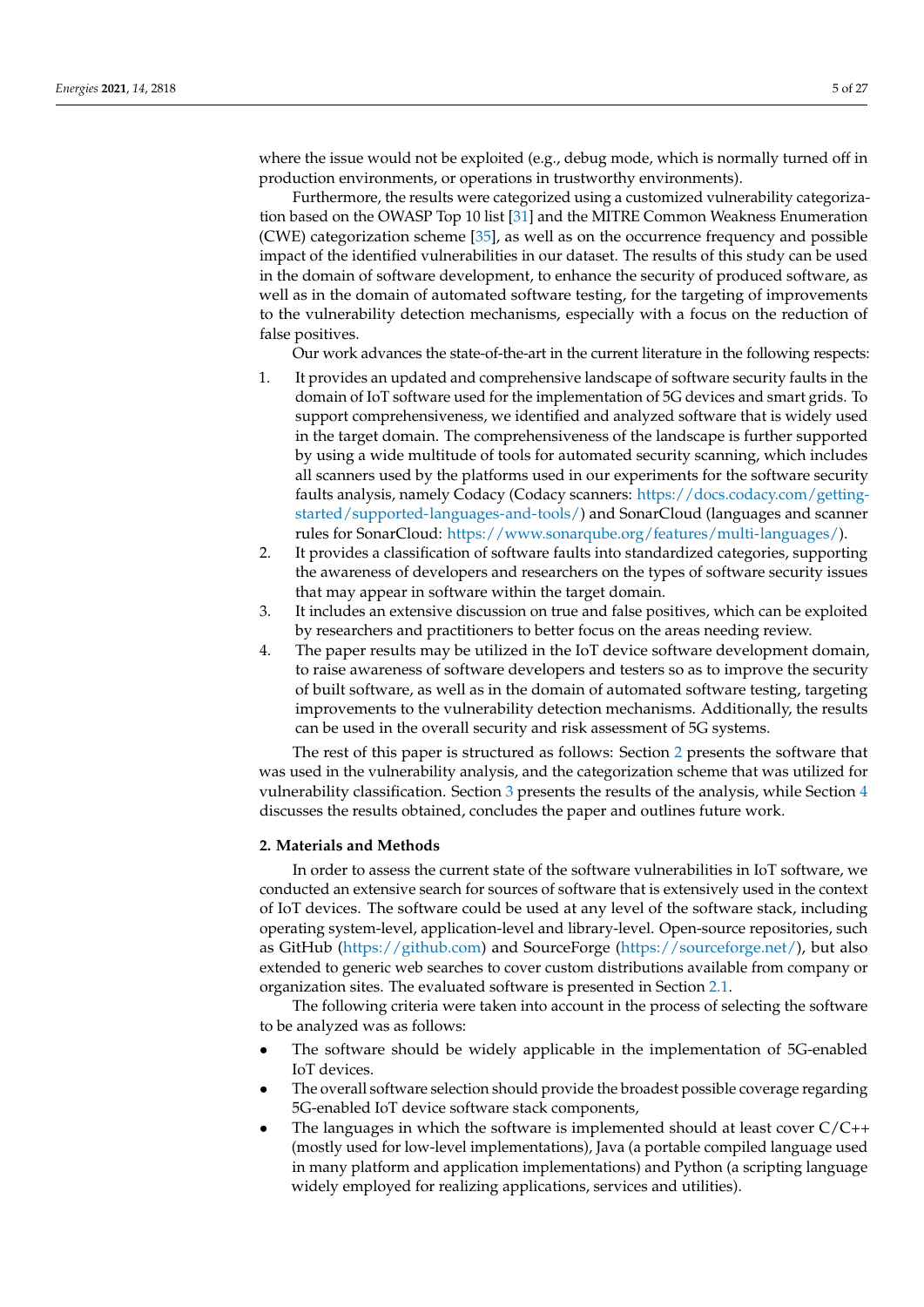where the issue would not be exploited (e.g., debug mode, which is normally turned off in production environments, or operations in trustworthy environments).

Furthermore, the results were categorized using a customized vulnerability categorization based on the OWASP Top 10 list [\[31\]](#page-23-16) and the MITRE Common Weakness Enumeration (CWE) categorization scheme [\[35\]](#page-23-20), as well as on the occurrence frequency and possible impact of the identified vulnerabilities in our dataset. The results of this study can be used in the domain of software development, to enhance the security of produced software, as well as in the domain of automated software testing, for the targeting of improvements to the vulnerability detection mechanisms, especially with a focus on the reduction of false positives.

Our work advances the state-of-the-art in the current literature in the following respects:

- 1. It provides an updated and comprehensive landscape of software security faults in the domain of IoT software used for the implementation of 5G devices and smart grids. To support comprehensiveness, we identified and analyzed software that is widely used in the target domain. The comprehensiveness of the landscape is further supported by using a wide multitude of tools for automated security scanning, which includes all scanners used by the platforms used in our experiments for the software security faults analysis, namely Codacy (Codacy scanners: [https://docs.codacy.com/getting](https://docs.codacy.com/getting-started/supported-languages-and-tools/)[started/supported-languages-and-tools/\)](https://docs.codacy.com/getting-started/supported-languages-and-tools/) and SonarCloud (languages and scanner rules for SonarCloud: [https://www.sonarqube.org/features/multi-languages/\)](https://www.sonarqube.org/features/multi-languages/).
- 2. It provides a classification of software faults into standardized categories, supporting the awareness of developers and researchers on the types of software security issues that may appear in software within the target domain.
- 3. It includes an extensive discussion on true and false positives, which can be exploited by researchers and practitioners to better focus on the areas needing review.
- 4. The paper results may be utilized in the IoT device software development domain, to raise awareness of software developers and testers so as to improve the security of built software, as well as in the domain of automated software testing, targeting improvements to the vulnerability detection mechanisms. Additionally, the results can be used in the overall security and risk assessment of 5G systems.

The rest of this paper is structured as follows: Section [2](#page-4-0) presents the software that was used in the vulnerability analysis, and the categorization scheme that was utilized for vulnerability classification. Section [3](#page-11-0) presents the results of the analysis, while Section [4](#page-19-0) discusses the results obtained, concludes the paper and outlines future work.

## <span id="page-4-0"></span>**2. Materials and Methods**

In order to assess the current state of the software vulnerabilities in IoT software, we conducted an extensive search for sources of software that is extensively used in the context of IoT devices. The software could be used at any level of the software stack, including operating system-level, application-level and library-level. Open-source repositories, such as GitHub [\(https://github.com\)](https://github.com) and SourceForge [\(https://sourceforge.net/\)](https://sourceforge.net/), but also extended to generic web searches to cover custom distributions available from company or organization sites. The evaluated software is presented in Section [2.1.](#page-5-0)

The following criteria were taken into account in the process of selecting the software to be analyzed was as follows:

- The software should be widely applicable in the implementation of 5G-enabled IoT devices.
- The overall software selection should provide the broadest possible coverage regarding 5G-enabled IoT device software stack components,
- The languages in which the software is implemented should at least cover  $C/C++$ (mostly used for low-level implementations), Java (a portable compiled language used in many platform and application implementations) and Python (a scripting language widely employed for realizing applications, services and utilities).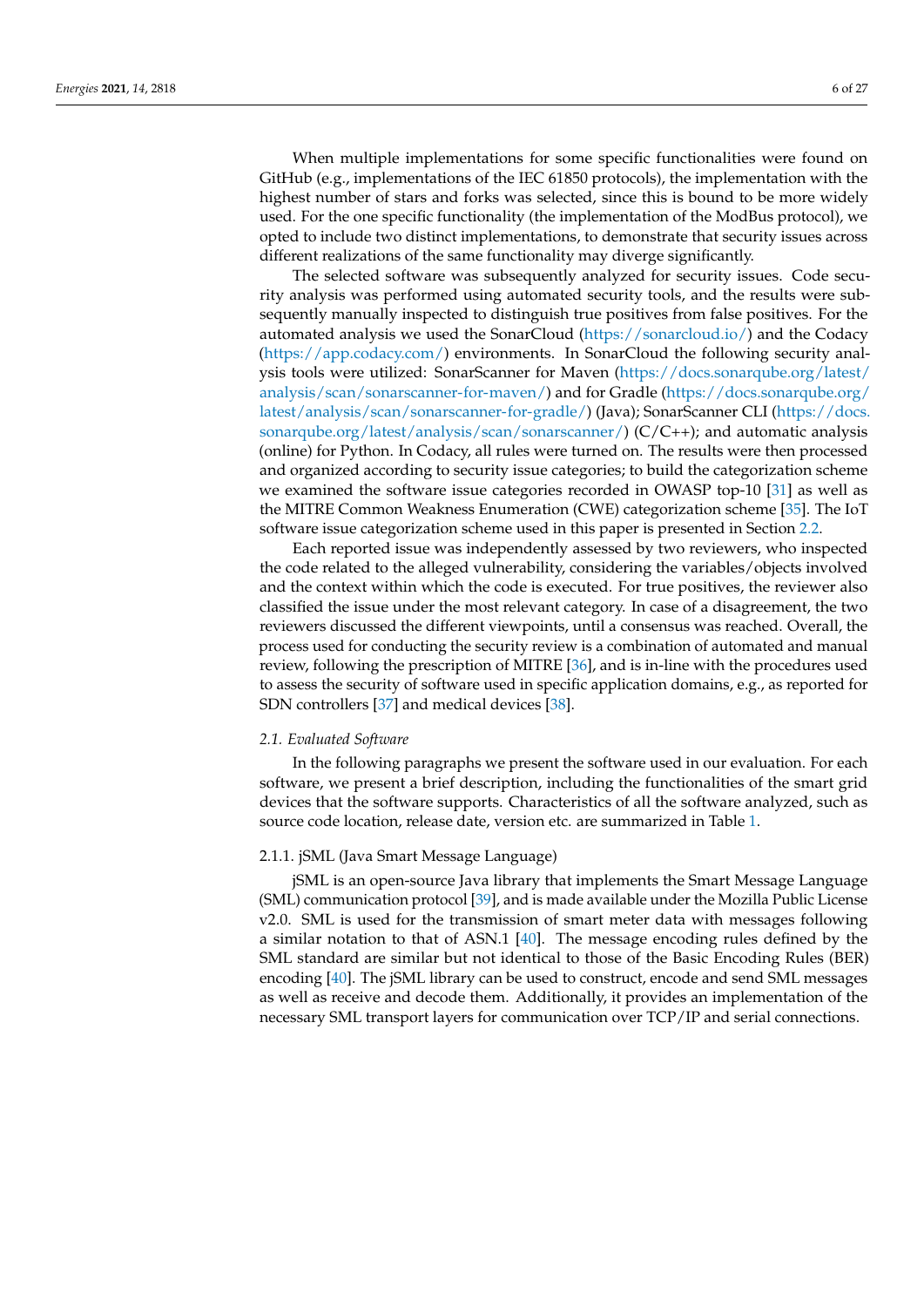When multiple implementations for some specific functionalities were found on

GitHub (e.g., implementations of the IEC 61850 protocols), the implementation with the highest number of stars and forks was selected, since this is bound to be more widely used. For the one specific functionality (the implementation of the ModBus protocol), we opted to include two distinct implementations, to demonstrate that security issues across different realizations of the same functionality may diverge significantly.

The selected software was subsequently analyzed for security issues. Code security analysis was performed using automated security tools, and the results were subsequently manually inspected to distinguish true positives from false positives. For the automated analysis we used the SonarCloud [\(https://sonarcloud.io/\)](https://sonarcloud.io/) and the Codacy [\(https://app.codacy.com/\)](https://app.codacy.com/) environments. In SonarCloud the following security analysis tools were utilized: SonarScanner for Maven [\(https://docs.sonarqube.org/latest/](https://docs.sonarqube.org/latest/analysis/scan/sonarscanner-for-maven/) [analysis/scan/sonarscanner-for-maven/\)](https://docs.sonarqube.org/latest/analysis/scan/sonarscanner-for-maven/) and for Gradle [\(https://docs.sonarqube.org/](https://docs.sonarqube.org/latest/analysis/scan/sonarscanner-for-gradle/) [latest/analysis/scan/sonarscanner-for-gradle/\)](https://docs.sonarqube.org/latest/analysis/scan/sonarscanner-for-gradle/) (Java); SonarScanner CLI [\(https://docs.](https://docs.sonarqube.org/latest/analysis/scan/sonarscanner/) [sonarqube.org/latest/analysis/scan/sonarscanner/\)](https://docs.sonarqube.org/latest/analysis/scan/sonarscanner/)  $(C/C++)$ ; and automatic analysis (online) for Python. In Codacy, all rules were turned on. The results were then processed and organized according to security issue categories; to build the categorization scheme we examined the software issue categories recorded in OWASP top-10 [\[31\]](#page-23-16) as well as the MITRE Common Weakness Enumeration (CWE) categorization scheme [\[35\]](#page-23-20). The IoT software issue categorization scheme used in this paper is presented in Section [2.2.](#page-8-0)

Each reported issue was independently assessed by two reviewers, who inspected the code related to the alleged vulnerability, considering the variables/objects involved and the context within which the code is executed. For true positives, the reviewer also classified the issue under the most relevant category. In case of a disagreement, the two reviewers discussed the different viewpoints, until a consensus was reached. Overall, the process used for conducting the security review is a combination of automated and manual review, following the prescription of MITRE [\[36\]](#page-23-21), and is in-line with the procedures used to assess the security of software used in specific application domains, e.g., as reported for SDN controllers [\[37\]](#page-23-22) and medical devices [\[38\]](#page-24-0).

#### <span id="page-5-0"></span>*2.1. Evaluated Software*

In the following paragraphs we present the software used in our evaluation. For each software, we present a brief description, including the functionalities of the smart grid devices that the software supports. Characteristics of all the software analyzed, such as source code location, release date, version etc. are summarized in Table [1.](#page-6-0)

## 2.1.1. jSML (Java Smart Message Language)

jSML is an open-source Java library that implements the Smart Message Language (SML) communication protocol [\[39\]](#page-24-1), and is made available under the Mozilla Public License v2.0. SML is used for the transmission of smart meter data with messages following a similar notation to that of ASN.1 [\[40\]](#page-24-2). The message encoding rules defined by the SML standard are similar but not identical to those of the Basic Encoding Rules (BER) encoding [\[40\]](#page-24-2). The jSML library can be used to construct, encode and send SML messages as well as receive and decode them. Additionally, it provides an implementation of the necessary SML transport layers for communication over TCP/IP and serial connections.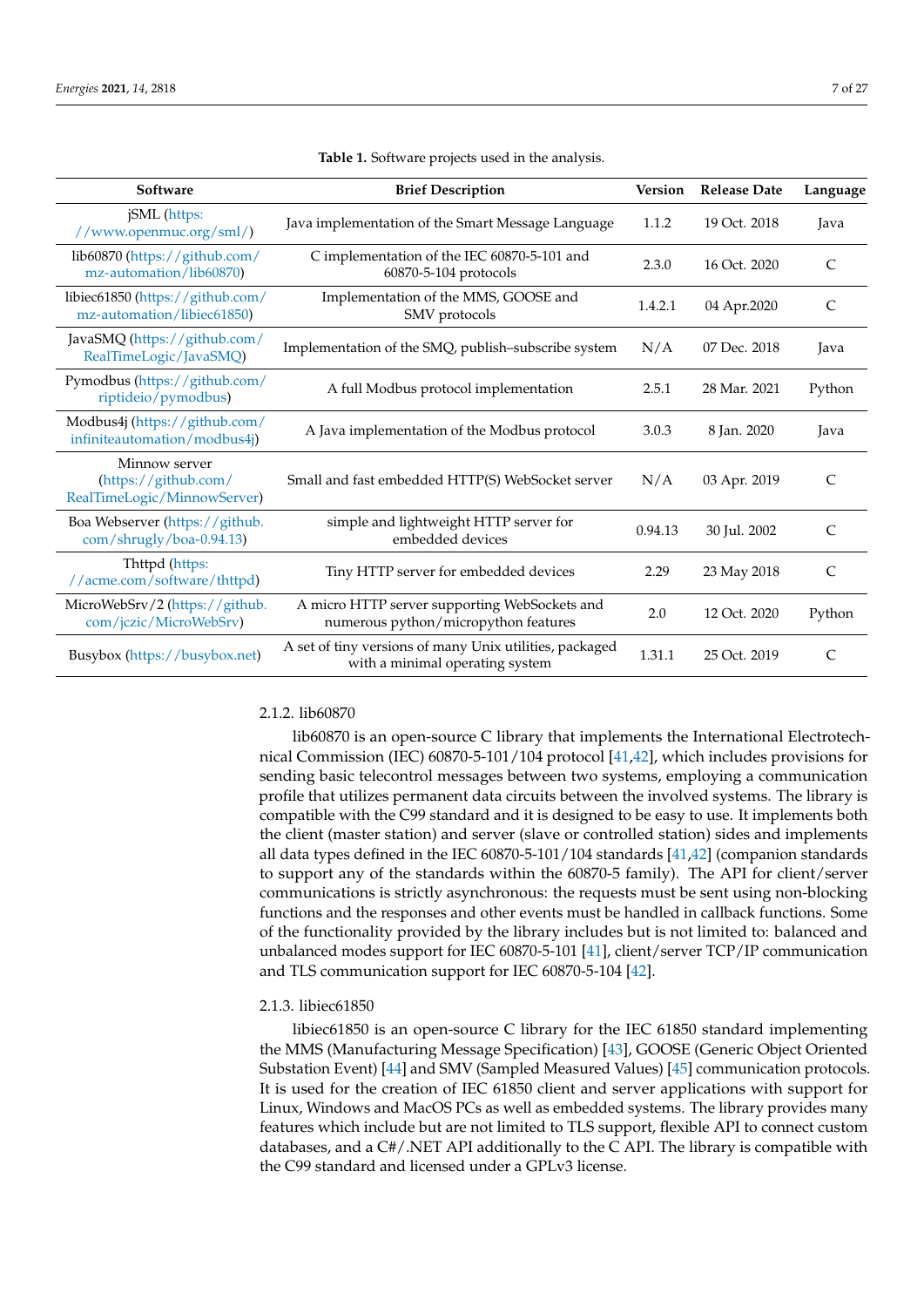<span id="page-6-0"></span>

| Software                                                             | <b>Brief Description</b>                                                                   | <b>Version</b> | <b>Release Date</b> | Language      |
|----------------------------------------------------------------------|--------------------------------------------------------------------------------------------|----------------|---------------------|---------------|
| jSML (https:<br>//www.openmuc.org/sml/)                              | Java implementation of the Smart Message Language                                          | 1.1.2          | 19 Oct. 2018        | Java          |
| lib60870 (https://github.com/<br>mz-automation/lib60870)             | C implementation of the IEC 60870-5-101 and<br>60870-5-104 protocols                       | 2.3.0          | 16 Oct. 2020        | C             |
| libiec61850 (https://github.com/<br>mz-automation/libiec61850)       | Implementation of the MMS, GOOSE and<br>SMV protocols                                      | 1.4.2.1        | 04 Apr.2020         | $\mathcal{C}$ |
| JavaSMQ (https://github.com/<br>RealTimeLogic/JavaSMQ)               | Implementation of the SMQ, publish-subscribe system                                        | N/A            | 07 Dec. 2018        | Java          |
| Pymodbus (https://github.com/<br>riptideio/pymodbus)                 | A full Modbus protocol implementation                                                      | 2.5.1          | 28 Mar. 2021        | Python        |
| Modbus4j (https://github.com/<br>infiniteautomation/modbus4j)        | A Java implementation of the Modbus protocol                                               | 3.0.3          | 8 Jan. 2020         | Java          |
| Minnow server<br>(https://github.com/<br>RealTimeLogic/MinnowServer) | Small and fast embedded HTTP(S) WebSocket server                                           | N/A            | 03 Apr. 2019        | $\mathcal{C}$ |
| Boa Webserver (https://github.<br>com/shrugly/boa-0.94.13)           | simple and lightweight HTTP server for<br>embedded devices                                 | 0.94.13        | 30 Jul. 2002        | $\mathcal{C}$ |
| Thttpd (https:<br>//acme.com/software/thttpd)                        | Tiny HTTP server for embedded devices                                                      | 2.29           | 23 May 2018         | $\mathsf{C}$  |
| MicroWebSrv/2 (https://github.<br>com/jczic/MicroWebSrv)             | A micro HTTP server supporting WebSockets and<br>numerous python/micropython features      | 2.0            | 12 Oct. 2020        | Python        |
| Busybox (https://busybox.net)                                        | A set of tiny versions of many Unix utilities, packaged<br>with a minimal operating system | 1.31.1         | 25 Oct. 2019        | C             |

**Table 1.** Software projects used in the analysis.

## 2.1.2. lib60870

lib60870 is an open-source C library that implements the International Electrotechnical Commission (IEC) 60870-5-101/104 protocol [\[41,](#page-24-3)[42\]](#page-24-4), which includes provisions for sending basic telecontrol messages between two systems, employing a communication profile that utilizes permanent data circuits between the involved systems. The library is compatible with the C99 standard and it is designed to be easy to use. It implements both the client (master station) and server (slave or controlled station) sides and implements all data types defined in the IEC 60870-5-101/104 standards [\[41,](#page-24-3)[42\]](#page-24-4) (companion standards to support any of the standards within the 60870-5 family). The API for client/server communications is strictly asynchronous: the requests must be sent using non-blocking functions and the responses and other events must be handled in callback functions. Some of the functionality provided by the library includes but is not limited to: balanced and unbalanced modes support for IEC 60870-5-101 [\[41\]](#page-24-3), client/server TCP/IP communication and TLS communication support for IEC 60870-5-104 [\[42\]](#page-24-4).

## 2.1.3. libiec61850

libiec61850 is an open-source C library for the IEC 61850 standard implementing the MMS (Manufacturing Message Specification) [\[43\]](#page-24-5), GOOSE (Generic Object Oriented Substation Event) [\[44\]](#page-24-6) and SMV (Sampled Measured Values) [\[45\]](#page-24-7) communication protocols. It is used for the creation of IEC 61850 client and server applications with support for Linux, Windows and MacOS PCs as well as embedded systems. The library provides many features which include but are not limited to TLS support, flexible API to connect custom databases, and a C#/.NET API additionally to the C API. The library is compatible with the C99 standard and licensed under a GPLv3 license.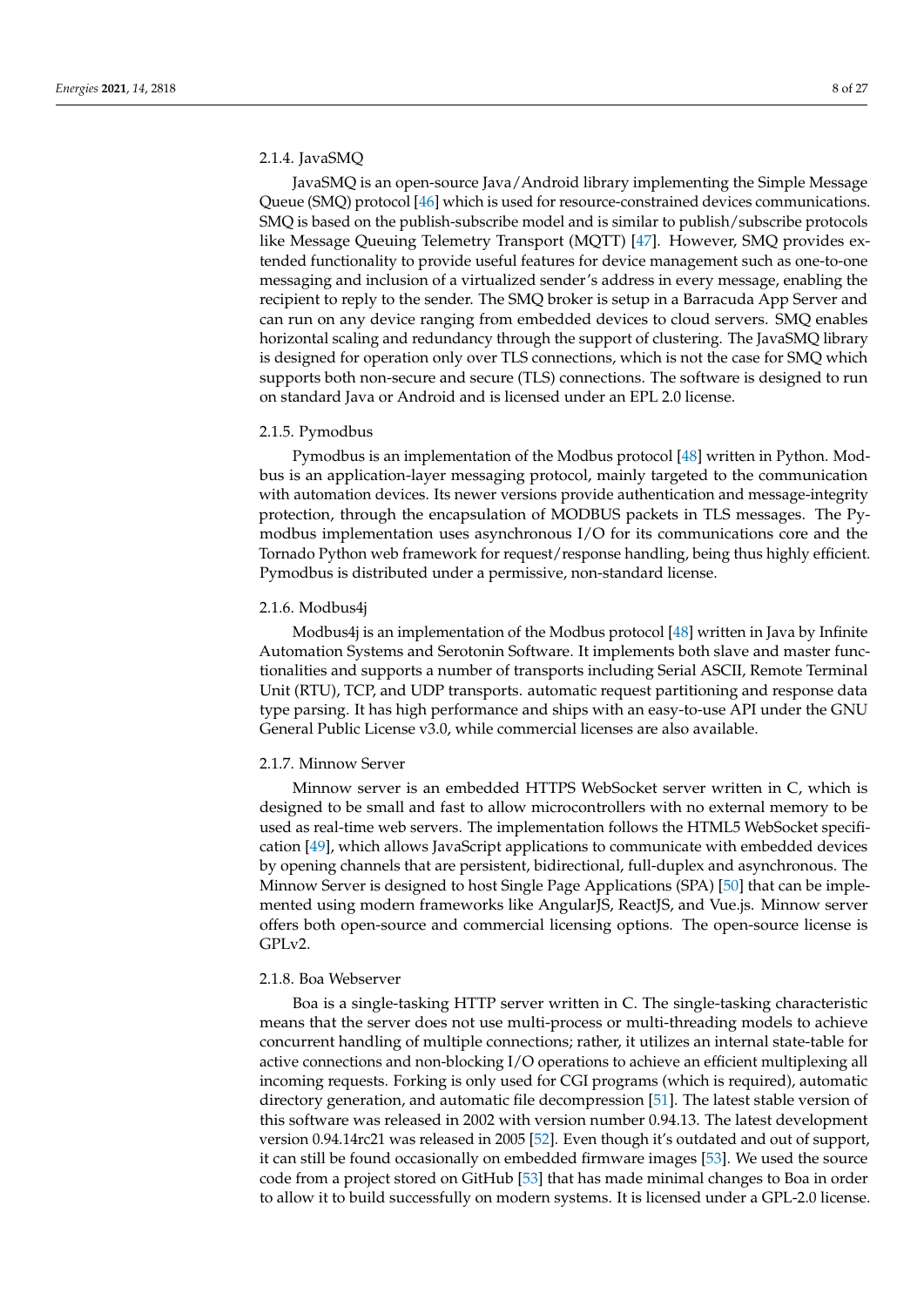## 2.1.4. JavaSMQ

JavaSMQ is an open-source Java/Android library implementing the Simple Message Queue (SMQ) protocol [\[46\]](#page-24-8) which is used for resource-constrained devices communications. SMQ is based on the publish-subscribe model and is similar to publish/subscribe protocols like Message Queuing Telemetry Transport (MQTT) [\[47\]](#page-24-9). However, SMQ provides extended functionality to provide useful features for device management such as one-to-one messaging and inclusion of a virtualized sender's address in every message, enabling the recipient to reply to the sender. The SMQ broker is setup in a Barracuda App Server and can run on any device ranging from embedded devices to cloud servers. SMQ enables horizontal scaling and redundancy through the support of clustering. The JavaSMQ library is designed for operation only over TLS connections, which is not the case for SMQ which supports both non-secure and secure (TLS) connections. The software is designed to run on standard Java or Android and is licensed under an EPL 2.0 license.

## 2.1.5. Pymodbus

Pymodbus is an implementation of the Modbus protocol [\[48\]](#page-24-10) written in Python. Modbus is an application-layer messaging protocol, mainly targeted to the communication with automation devices. Its newer versions provide authentication and message-integrity protection, through the encapsulation of MODBUS packets in TLS messages. The Pymodbus implementation uses asynchronous I/O for its communications core and the Tornado Python web framework for request/response handling, being thus highly efficient. Pymodbus is distributed under a permissive, non-standard license.

#### 2.1.6. Modbus4j

Modbus4j is an implementation of the Modbus protocol [\[48\]](#page-24-10) written in Java by Infinite Automation Systems and Serotonin Software. It implements both slave and master functionalities and supports a number of transports including Serial ASCII, Remote Terminal Unit (RTU), TCP, and UDP transports. automatic request partitioning and response data type parsing. It has high performance and ships with an easy-to-use API under the GNU General Public License v3.0, while commercial licenses are also available.

#### 2.1.7. Minnow Server

Minnow server is an embedded HTTPS WebSocket server written in C, which is designed to be small and fast to allow microcontrollers with no external memory to be used as real-time web servers. The implementation follows the HTML5 WebSocket specification [\[49\]](#page-24-11), which allows JavaScript applications to communicate with embedded devices by opening channels that are persistent, bidirectional, full-duplex and asynchronous. The Minnow Server is designed to host Single Page Applications (SPA) [\[50\]](#page-24-12) that can be implemented using modern frameworks like AngularJS, ReactJS, and Vue.js. Minnow server offers both open-source and commercial licensing options. The open-source license is GPLv2.

### 2.1.8. Boa Webserver

Boa is a single-tasking HTTP server written in C. The single-tasking characteristic means that the server does not use multi-process or multi-threading models to achieve concurrent handling of multiple connections; rather, it utilizes an internal state-table for active connections and non-blocking I/O operations to achieve an efficient multiplexing all incoming requests. Forking is only used for CGI programs (which is required), automatic directory generation, and automatic file decompression [\[51\]](#page-24-13). The latest stable version of this software was released in 2002 with version number 0.94.13. The latest development version 0.94.14rc21 was released in 2005 [\[52\]](#page-24-14). Even though it's outdated and out of support, it can still be found occasionally on embedded firmware images [\[53\]](#page-24-15). We used the source code from a project stored on GitHub [\[53\]](#page-24-15) that has made minimal changes to Boa in order to allow it to build successfully on modern systems. It is licensed under a GPL-2.0 license.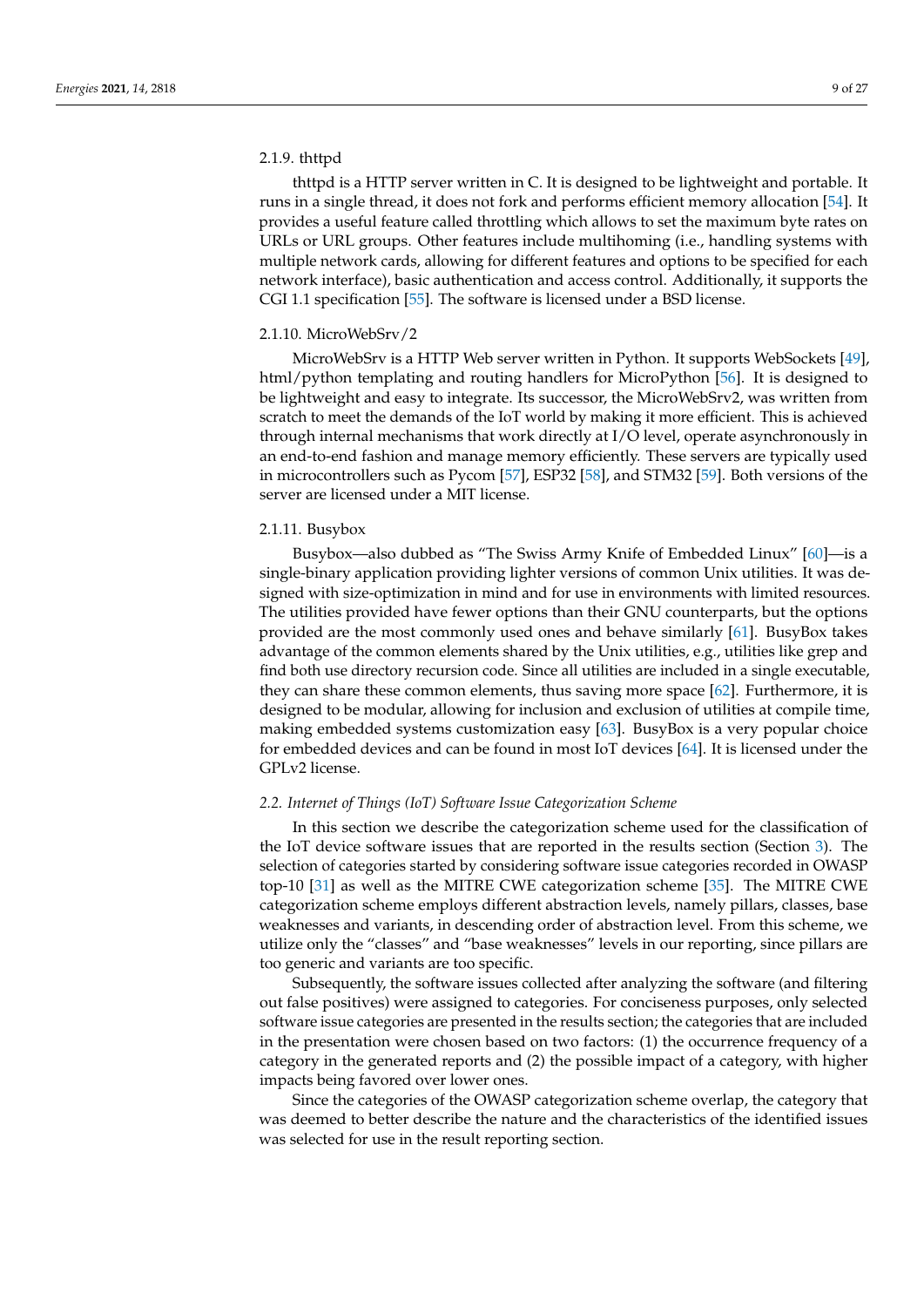## 2.1.9. thttpd

thttpd is a HTTP server written in C. It is designed to be lightweight and portable. It runs in a single thread, it does not fork and performs efficient memory allocation [\[54\]](#page-24-16). It provides a useful feature called throttling which allows to set the maximum byte rates on URLs or URL groups. Other features include multihoming (i.e., handling systems with multiple network cards, allowing for different features and options to be specified for each network interface), basic authentication and access control. Additionally, it supports the CGI 1.1 specification [\[55\]](#page-24-17). The software is licensed under a BSD license.

#### 2.1.10. MicroWebSrv/2

MicroWebSrv is a HTTP Web server written in Python. It supports WebSockets [\[49\]](#page-24-11), html/python templating and routing handlers for MicroPython [\[56\]](#page-24-18). It is designed to be lightweight and easy to integrate. Its successor, the MicroWebSrv2, was written from scratch to meet the demands of the IoT world by making it more efficient. This is achieved through internal mechanisms that work directly at I/O level, operate asynchronously in an end-to-end fashion and manage memory efficiently. These servers are typically used in microcontrollers such as Pycom [\[57\]](#page-24-19), ESP32 [\[58\]](#page-24-20), and STM32 [\[59\]](#page-24-21). Both versions of the server are licensed under a MIT license.

#### 2.1.11. Busybox

Busybox—also dubbed as "The Swiss Army Knife of Embedded Linux" [\[60\]](#page-24-22)—is a single-binary application providing lighter versions of common Unix utilities. It was designed with size-optimization in mind and for use in environments with limited resources. The utilities provided have fewer options than their GNU counterparts, but the options provided are the most commonly used ones and behave similarly [\[61\]](#page-24-23). BusyBox takes advantage of the common elements shared by the Unix utilities, e.g., utilities like grep and find both use directory recursion code. Since all utilities are included in a single executable, they can share these common elements, thus saving more space [\[62\]](#page-24-24). Furthermore, it is designed to be modular, allowing for inclusion and exclusion of utilities at compile time, making embedded systems customization easy [\[63\]](#page-24-25). BusyBox is a very popular choice for embedded devices and can be found in most IoT devices [\[64\]](#page-24-26). It is licensed under the GPLv2 license.

#### <span id="page-8-0"></span>*2.2. Internet of Things (IoT) Software Issue Categorization Scheme*

In this section we describe the categorization scheme used for the classification of the IoT device software issues that are reported in the results section (Section [3\)](#page-11-0). The selection of categories started by considering software issue categories recorded in OWASP top-10 [\[31\]](#page-23-16) as well as the MITRE CWE categorization scheme [\[35\]](#page-23-20). The MITRE CWE categorization scheme employs different abstraction levels, namely pillars, classes, base weaknesses and variants, in descending order of abstraction level. From this scheme, we utilize only the "classes" and "base weaknesses" levels in our reporting, since pillars are too generic and variants are too specific.

Subsequently, the software issues collected after analyzing the software (and filtering out false positives) were assigned to categories. For conciseness purposes, only selected software issue categories are presented in the results section; the categories that are included in the presentation were chosen based on two factors: (1) the occurrence frequency of a category in the generated reports and (2) the possible impact of a category, with higher impacts being favored over lower ones.

Since the categories of the OWASP categorization scheme overlap, the category that was deemed to better describe the nature and the characteristics of the identified issues was selected for use in the result reporting section.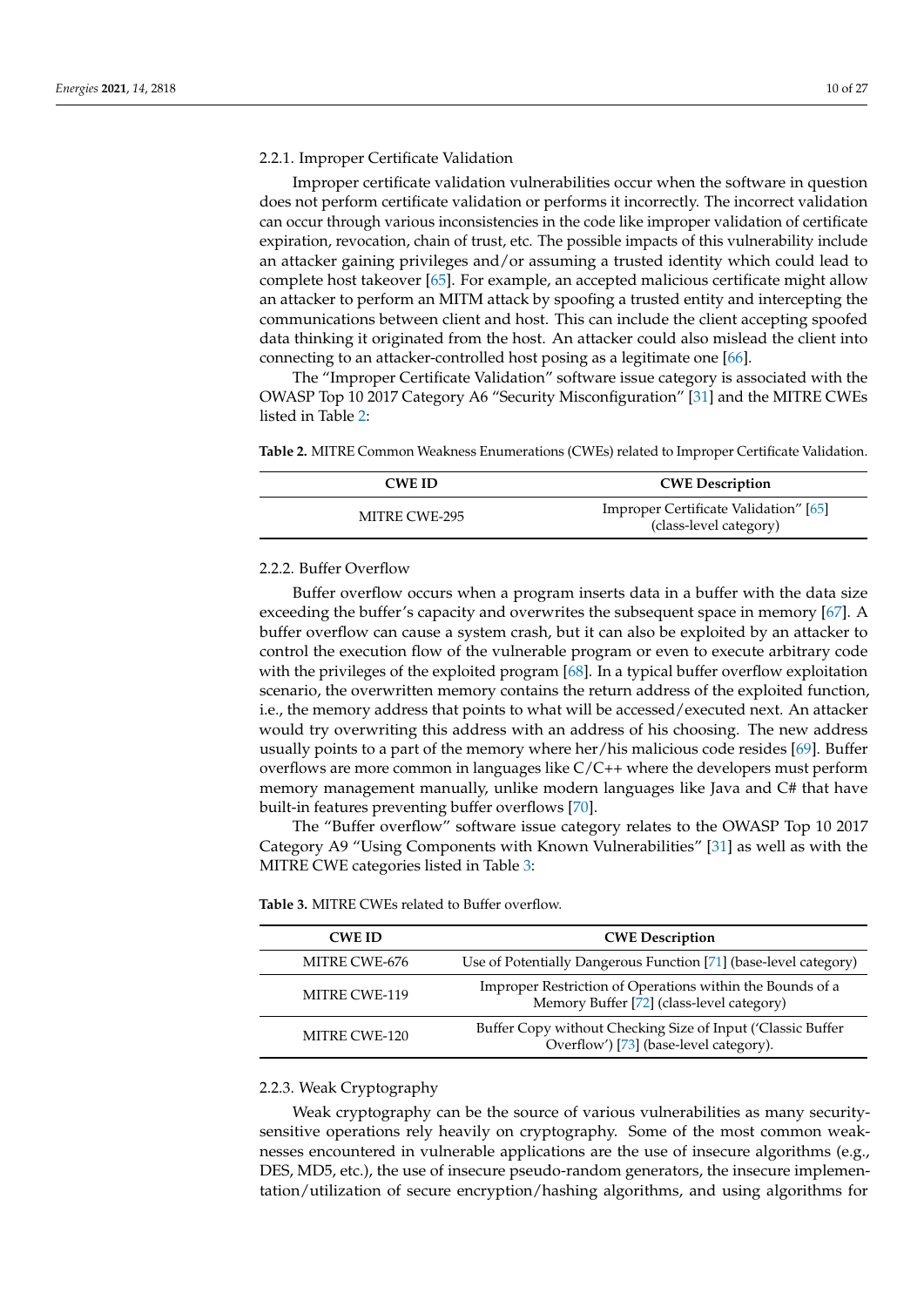## 2.2.1. Improper Certificate Validation

Improper certificate validation vulnerabilities occur when the software in question does not perform certificate validation or performs it incorrectly. The incorrect validation can occur through various inconsistencies in the code like improper validation of certificate expiration, revocation, chain of trust, etc. The possible impacts of this vulnerability include an attacker gaining privileges and/or assuming a trusted identity which could lead to complete host takeover [\[65\]](#page-24-27). For example, an accepted malicious certificate might allow an attacker to perform an MITM attack by spoofing a trusted entity and intercepting the communications between client and host. This can include the client accepting spoofed data thinking it originated from the host. An attacker could also mislead the client into connecting to an attacker-controlled host posing as a legitimate one [\[66\]](#page-24-28).

The "Improper Certificate Validation" software issue category is associated with the OWASP Top 10 2017 Category A6 "Security Misconfiguration" [\[31\]](#page-23-16) and the MITRE CWEs listed in Table [2:](#page-9-0)

<span id="page-9-0"></span>**Table 2.** MITRE Common Weakness Enumerations (CWEs) related to Improper Certificate Validation.

| <b>CWE ID</b> | <b>CWE</b> Description                                          |  |  |
|---------------|-----------------------------------------------------------------|--|--|
| MITRE CWE-295 | Improper Certificate Validation" [65]<br>(class-level category) |  |  |

## 2.2.2. Buffer Overflow

Buffer overflow occurs when a program inserts data in a buffer with the data size exceeding the buffer's capacity and overwrites the subsequent space in memory [\[67\]](#page-24-29). A buffer overflow can cause a system crash, but it can also be exploited by an attacker to control the execution flow of the vulnerable program or even to execute arbitrary code with the privileges of the exploited program [\[68\]](#page-24-30). In a typical buffer overflow exploitation scenario, the overwritten memory contains the return address of the exploited function, i.e., the memory address that points to what will be accessed/executed next. An attacker would try overwriting this address with an address of his choosing. The new address usually points to a part of the memory where her/his malicious code resides [\[69\]](#page-24-31). Buffer overflows are more common in languages like C/C++ where the developers must perform memory management manually, unlike modern languages like Java and C# that have built-in features preventing buffer overflows [\[70\]](#page-25-0).

The "Buffer overflow" software issue category relates to the OWASP Top 10 2017 Category A9 "Using Components with Known Vulnerabilities" [\[31\]](#page-23-16) as well as with the MITRE CWE categories listed in Table [3:](#page-9-1)

| <b>CWE ID</b> | <b>CWE</b> Description                                                                                 |
|---------------|--------------------------------------------------------------------------------------------------------|
| MITRE CWE-676 | Use of Potentially Dangerous Function [71] (base-level category)                                       |
| MITRE CWE-119 | Improper Restriction of Operations within the Bounds of a<br>Memory Buffer [72] (class-level category) |
| MITRE CWE-120 | Buffer Copy without Checking Size of Input ('Classic Buffer<br>Overflow') [73] (base-level category).  |

<span id="page-9-1"></span>**Table 3.** MITRE CWEs related to Buffer overflow.

## 2.2.3. Weak Cryptography

Weak cryptography can be the source of various vulnerabilities as many securitysensitive operations rely heavily on cryptography. Some of the most common weaknesses encountered in vulnerable applications are the use of insecure algorithms (e.g., DES, MD5, etc.), the use of insecure pseudo-random generators, the insecure implementation/utilization of secure encryption/hashing algorithms, and using algorithms for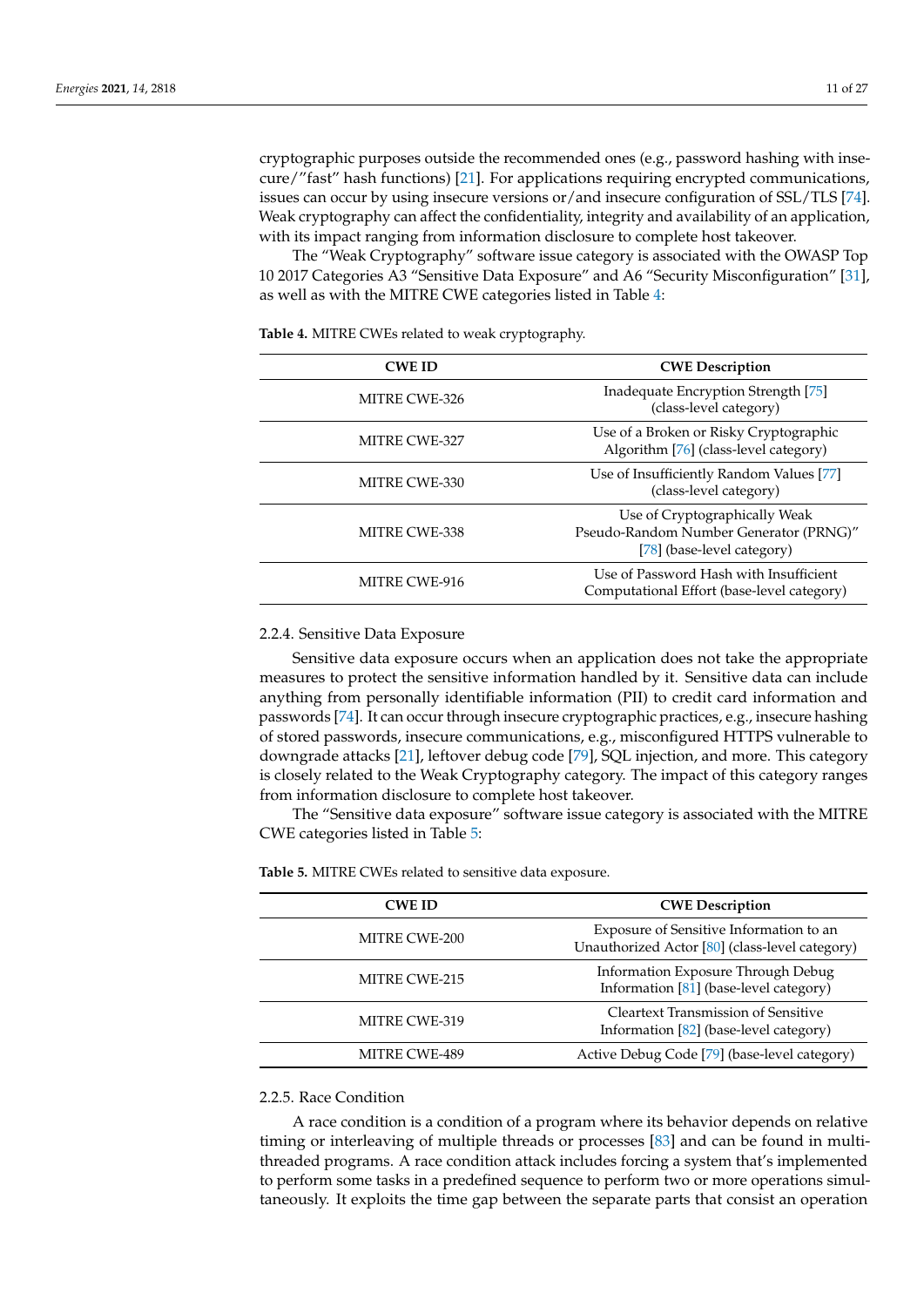cryptographic purposes outside the recommended ones (e.g., password hashing with insecure/"fast" hash functions) [\[21\]](#page-23-9). For applications requiring encrypted communications, issues can occur by using insecure versions or/and insecure configuration of SSL/TLS [\[74\]](#page-25-4). Weak cryptography can affect the confidentiality, integrity and availability of an application, with its impact ranging from information disclosure to complete host takeover.

The "Weak Cryptography" software issue category is associated with the OWASP Top 10 2017 Categories A3 "Sensitive Data Exposure" and A6 "Security Misconfiguration" [\[31\]](#page-23-16), as well as with the MITRE CWE categories listed in Table [4:](#page-10-0)

| <b>CWE ID</b> | <b>CWE</b> Description                                                                                |
|---------------|-------------------------------------------------------------------------------------------------------|
| MITRE CWE-326 | Inadequate Encryption Strength [75]<br>(class-level category)                                         |
| MITRE CWE-327 | Use of a Broken or Risky Cryptographic<br>Algorithm [76] (class-level category)                       |
| MITRE CWE-330 | Use of Insufficiently Random Values [77]<br>(class-level category)                                    |
| MITRE CWE-338 | Use of Cryptographically Weak<br>Pseudo-Random Number Generator (PRNG)"<br>[78] (base-level category) |
| MITRE CWE-916 | Use of Password Hash with Insufficient<br>Computational Effort (base-level category)                  |

<span id="page-10-0"></span>**Table 4.** MITRE CWEs related to weak cryptography.

#### 2.2.4. Sensitive Data Exposure

Sensitive data exposure occurs when an application does not take the appropriate measures to protect the sensitive information handled by it. Sensitive data can include anything from personally identifiable information (PII) to credit card information and passwords [\[74\]](#page-25-4). It can occur through insecure cryptographic practices, e.g., insecure hashing of stored passwords, insecure communications, e.g., misconfigured HTTPS vulnerable to downgrade attacks [\[21\]](#page-23-9), leftover debug code [\[79\]](#page-25-9), SQL injection, and more. This category is closely related to the Weak Cryptography category. The impact of this category ranges from information disclosure to complete host takeover.

The "Sensitive data exposure" software issue category is associated with the MITRE CWE categories listed in Table [5:](#page-10-1)

| <b>CWE ID</b>        | <b>CWE</b> Description                                                                    |
|----------------------|-------------------------------------------------------------------------------------------|
| MITRE CWE-200        | Exposure of Sensitive Information to an<br>Unauthorized Actor [80] (class-level category) |
| MITRE CWE-215        | Information Exposure Through Debug<br>Information [81] (base-level category)              |
| <b>MITRE CWE-319</b> | <b>Cleartext Transmission of Sensitive</b><br>Information [82] (base-level category)      |
| <b>MITRE CWE-489</b> | Active Debug Code [79] (base-level category)                                              |

<span id="page-10-1"></span>**Table 5.** MITRE CWEs related to sensitive data exposure.

## 2.2.5. Race Condition

A race condition is a condition of a program where its behavior depends on relative timing or interleaving of multiple threads or processes [\[83\]](#page-25-13) and can be found in multithreaded programs. A race condition attack includes forcing a system that's implemented to perform some tasks in a predefined sequence to perform two or more operations simultaneously. It exploits the time gap between the separate parts that consist an operation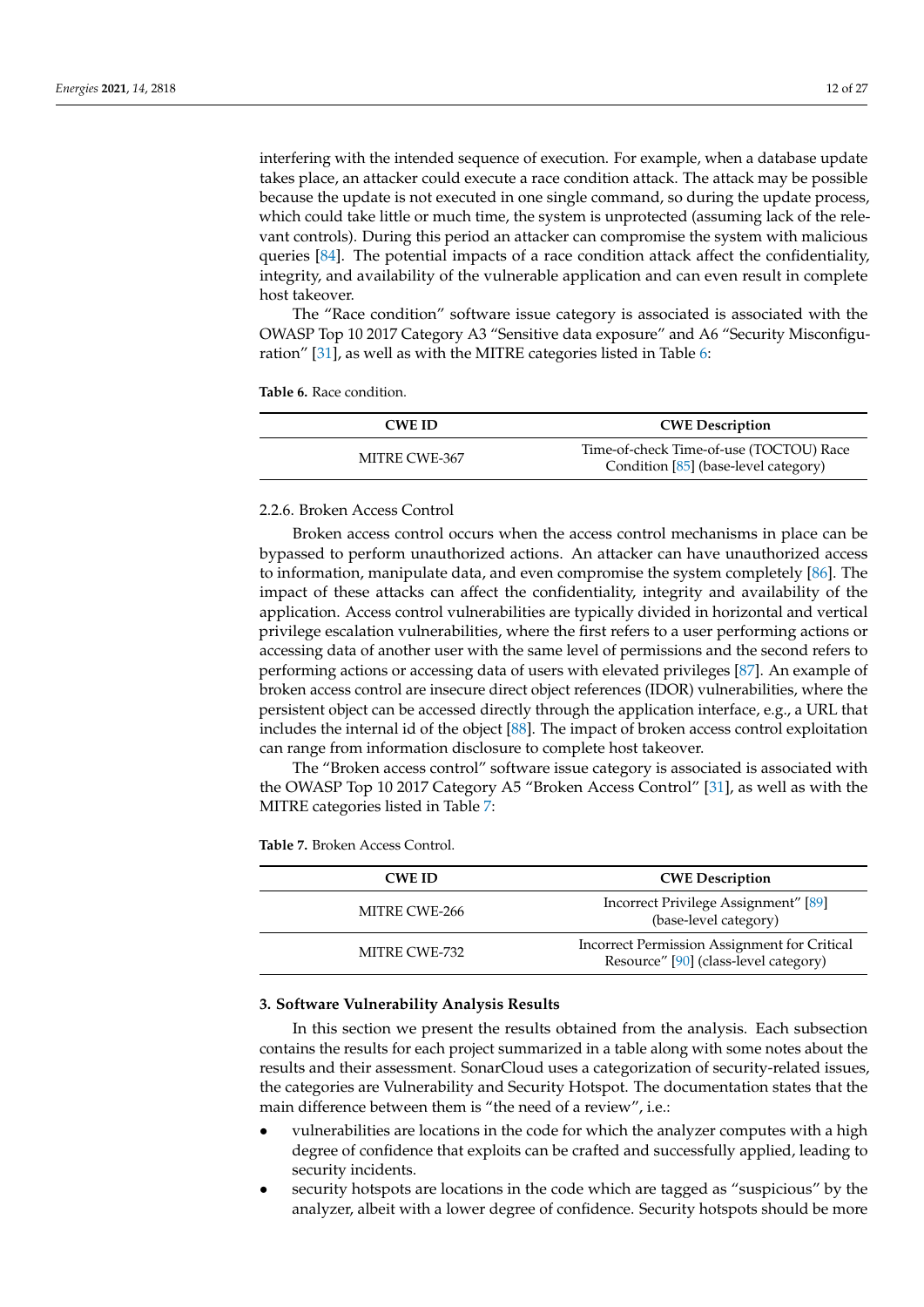interfering with the intended sequence of execution. For example, when a database update takes place, an attacker could execute a race condition attack. The attack may be possible because the update is not executed in one single command, so during the update process, which could take little or much time, the system is unprotected (assuming lack of the relevant controls). During this period an attacker can compromise the system with malicious queries [\[84\]](#page-25-14). The potential impacts of a race condition attack affect the confidentiality, integrity, and availability of the vulnerable application and can even result in complete host takeover.

The "Race condition" software issue category is associated is associated with the OWASP Top 10 2017 Category A3 "Sensitive data exposure" and A6 "Security Misconfiguration" [\[31\]](#page-23-16), as well as with the MITRE categories listed in Table [6:](#page-11-1)

<span id="page-11-1"></span>

| <b>CWE ID</b> | <b>CWE</b> Description                                                          |  |  |
|---------------|---------------------------------------------------------------------------------|--|--|
| MITRE CWE-367 | Time-of-check Time-of-use (TOCTOU) Race<br>Condition [85] (base-level category) |  |  |

#### 2.2.6. Broken Access Control

Broken access control occurs when the access control mechanisms in place can be bypassed to perform unauthorized actions. An attacker can have unauthorized access to information, manipulate data, and even compromise the system completely [\[86\]](#page-25-16). The impact of these attacks can affect the confidentiality, integrity and availability of the application. Access control vulnerabilities are typically divided in horizontal and vertical privilege escalation vulnerabilities, where the first refers to a user performing actions or accessing data of another user with the same level of permissions and the second refers to performing actions or accessing data of users with elevated privileges [\[87\]](#page-25-17). An example of broken access control are insecure direct object references (IDOR) vulnerabilities, where the persistent object can be accessed directly through the application interface, e.g., a URL that includes the internal id of the object [\[88\]](#page-25-18). The impact of broken access control exploitation can range from information disclosure to complete host takeover.

The "Broken access control" software issue category is associated is associated with the OWASP Top 10 2017 Category A5 "Broken Access Control" [\[31\]](#page-23-16), as well as with the MITRE categories listed in Table [7:](#page-11-2)

| Incorrect Privilege Assignment" [89]<br>(base-level category)                         |
|---------------------------------------------------------------------------------------|
| Incorrect Permission Assignment for Critical<br>Resource" [90] (class-level category) |
|                                                                                       |

<span id="page-11-2"></span>**Table 7.** Broken Access Control.

#### <span id="page-11-0"></span>**3. Software Vulnerability Analysis Results**

In this section we present the results obtained from the analysis. Each subsection contains the results for each project summarized in a table along with some notes about the results and their assessment. SonarCloud uses a categorization of security-related issues, the categories are Vulnerability and Security Hotspot. The documentation states that the main difference between them is "the need of a review", i.e.:

- vulnerabilities are locations in the code for which the analyzer computes with a high degree of confidence that exploits can be crafted and successfully applied, leading to security incidents.
- security hotspots are locations in the code which are tagged as "suspicious" by the analyzer, albeit with a lower degree of confidence. Security hotspots should be more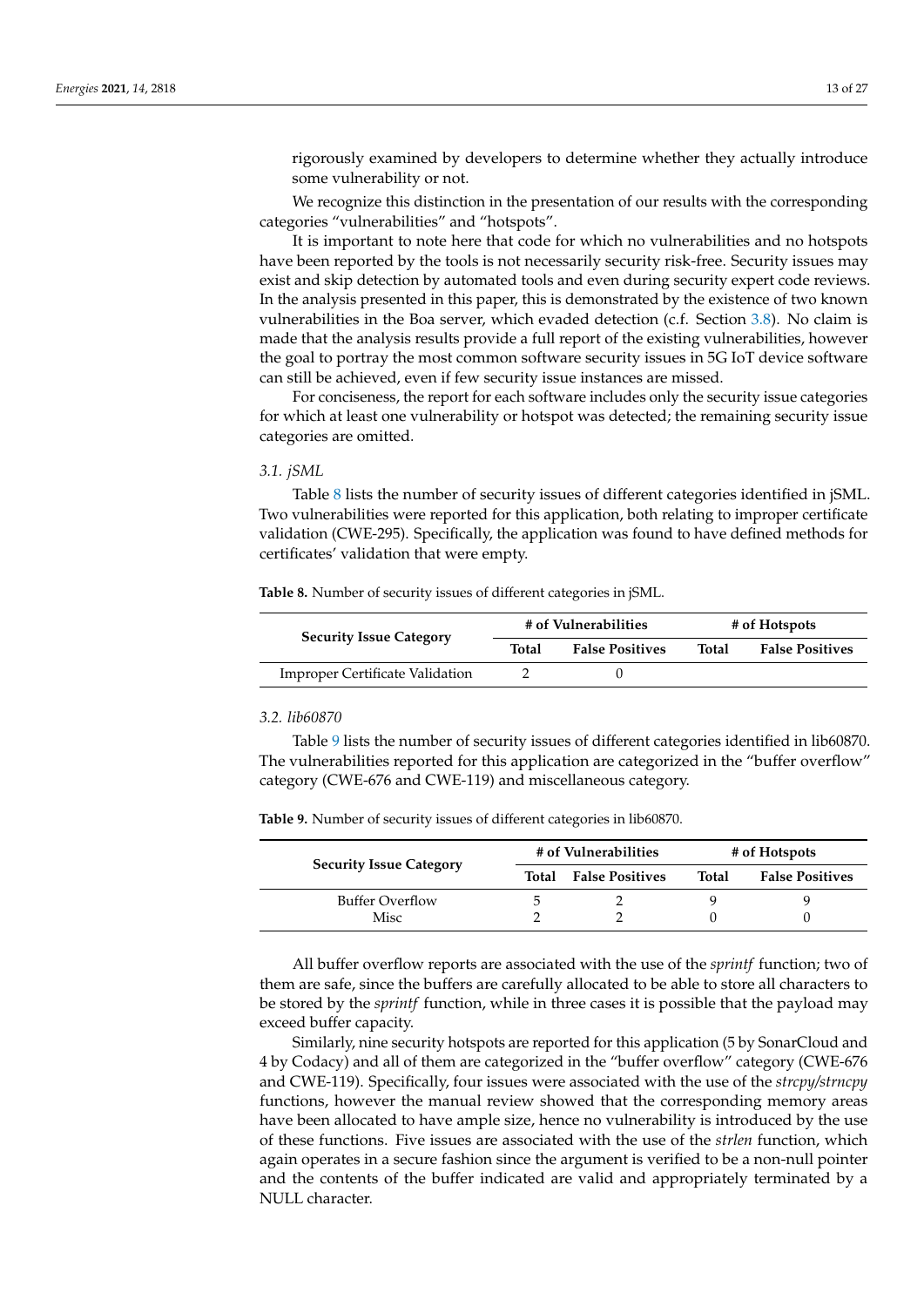rigorously examined by developers to determine whether they actually introduce some vulnerability or not.

We recognize this distinction in the presentation of our results with the corresponding categories "vulnerabilities" and "hotspots".

It is important to note here that code for which no vulnerabilities and no hotspots have been reported by the tools is not necessarily security risk-free. Security issues may exist and skip detection by automated tools and even during security expert code reviews. In the analysis presented in this paper, this is demonstrated by the existence of two known vulnerabilities in the Boa server, which evaded detection (c.f. Section [3.8\)](#page-16-0). No claim is made that the analysis results provide a full report of the existing vulnerabilities, however the goal to portray the most common software security issues in 5G IoT device software can still be achieved, even if few security issue instances are missed.

For conciseness, the report for each software includes only the security issue categories for which at least one vulnerability or hotspot was detected; the remaining security issue categories are omitted.

#### *3.1. jSML*

Table [8](#page-12-0) lists the number of security issues of different categories identified in jSML. Two vulnerabilities were reported for this application, both relating to improper certificate validation (CWE-295). Specifically, the application was found to have defined methods for certificates' validation that were empty.

<span id="page-12-0"></span>**Table 8.** Number of security issues of different categories in jSML.

| <b>Security Issue Category</b>         | # of Vulnerabilities |                        | # of Hotspots |                        |
|----------------------------------------|----------------------|------------------------|---------------|------------------------|
|                                        | Total                | <b>False Positives</b> | Total         | <b>False Positives</b> |
| <b>Improper Certificate Validation</b> |                      |                        |               |                        |

#### *3.2. lib60870*

Table [9](#page-12-1) lists the number of security issues of different categories identified in lib60870. The vulnerabilities reported for this application are categorized in the "buffer overflow" category (CWE-676 and CWE-119) and miscellaneous category.

**Security Issue Category # of Vulnerabilities # of Hotspots Total False Positives Total False Positives** Buffer Overflow 5 2 9 9 9

<span id="page-12-1"></span>**Table 9.** Number of security issues of different categories in lib60870.

All buffer overflow reports are associated with the use of the *sprintf* function; two of them are safe, since the buffers are carefully allocated to be able to store all characters to be stored by the *sprintf* function, while in three cases it is possible that the payload may exceed buffer capacity.

Misc 2 2 0 0 0

Similarly, nine security hotspots are reported for this application (5 by SonarCloud and 4 by Codacy) and all of them are categorized in the "buffer overflow" category (CWE-676 and CWE-119). Specifically, four issues were associated with the use of the *strcpy/strncpy* functions, however the manual review showed that the corresponding memory areas have been allocated to have ample size, hence no vulnerability is introduced by the use of these functions. Five issues are associated with the use of the *strlen* function, which again operates in a secure fashion since the argument is verified to be a non-null pointer and the contents of the buffer indicated are valid and appropriately terminated by a NULL character.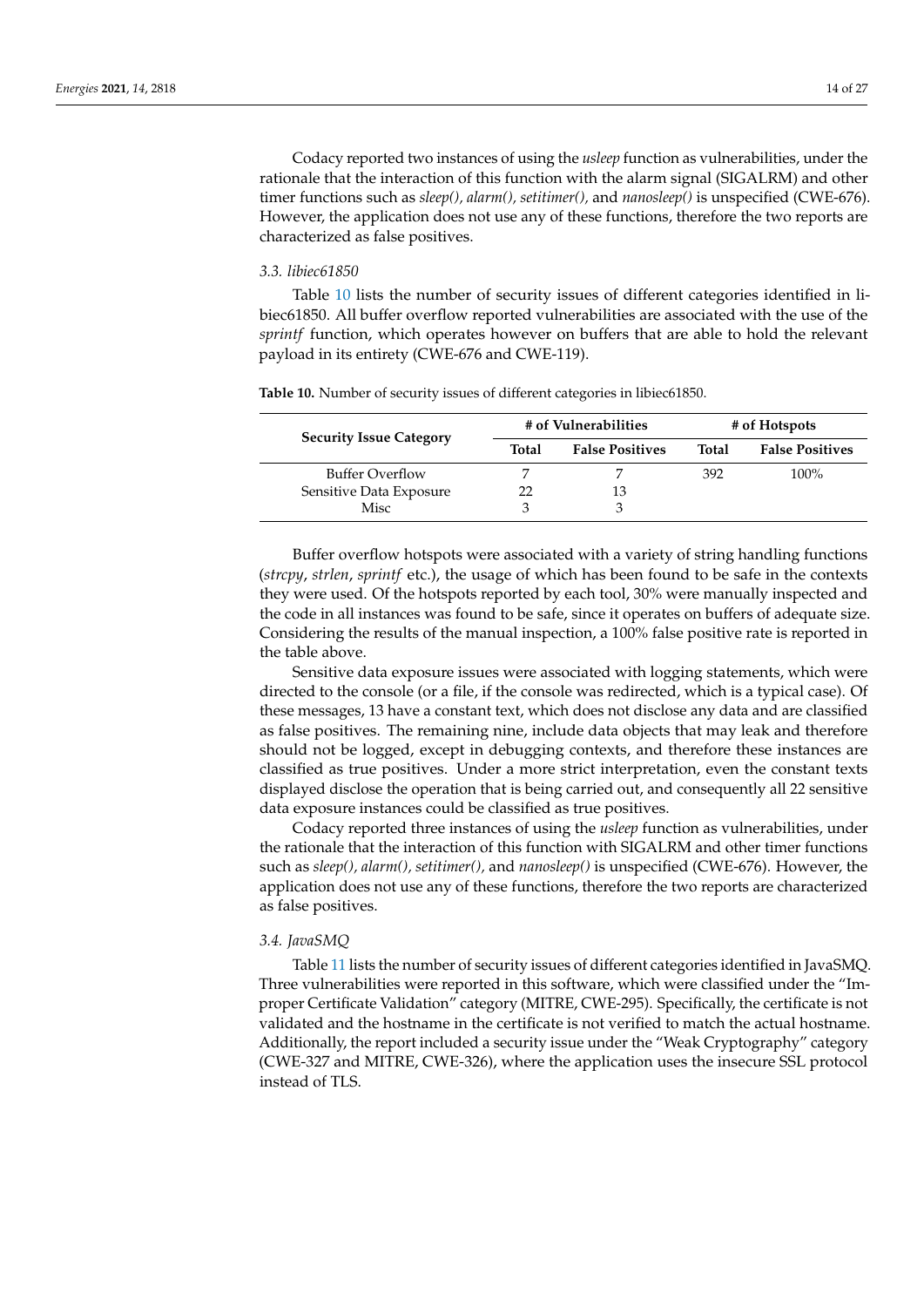Codacy reported two instances of using the *usleep* function as vulnerabilities, under the rationale that the interaction of this function with the alarm signal (SIGALRM) and other timer functions such as *sleep(), alarm(), setitimer(),* and *nanosleep()* is unspecified (CWE-676). However, the application does not use any of these functions, therefore the two reports are characterized as false positives.

## *3.3. libiec61850*

Table [10](#page-13-0) lists the number of security issues of different categories identified in libiec61850. All buffer overflow reported vulnerabilities are associated with the use of the *sprintf* function, which operates however on buffers that are able to hold the relevant payload in its entirety (CWE-676 and CWE-119).

| <b>Security Issue Category</b> | # of Vulnerabilities |                        | # of Hotspots |                        |
|--------------------------------|----------------------|------------------------|---------------|------------------------|
|                                | Total                | <b>False Positives</b> | Total         | <b>False Positives</b> |
| <b>Buffer Overflow</b>         |                      |                        | 392           | 100%                   |
| Sensitive Data Exposure        |                      | 13                     |               |                        |
| Misc                           |                      | З                      |               |                        |

<span id="page-13-0"></span>**Table 10.** Number of security issues of different categories in libiec61850.

Buffer overflow hotspots were associated with a variety of string handling functions (*strcpy*, *strlen*, *sprintf* etc.), the usage of which has been found to be safe in the contexts they were used. Of the hotspots reported by each tool, 30% were manually inspected and the code in all instances was found to be safe, since it operates on buffers of adequate size. Considering the results of the manual inspection, a 100% false positive rate is reported in the table above.

Sensitive data exposure issues were associated with logging statements, which were directed to the console (or a file, if the console was redirected, which is a typical case). Of these messages, 13 have a constant text, which does not disclose any data and are classified as false positives. The remaining nine, include data objects that may leak and therefore should not be logged, except in debugging contexts, and therefore these instances are classified as true positives. Under a more strict interpretation, even the constant texts displayed disclose the operation that is being carried out, and consequently all 22 sensitive data exposure instances could be classified as true positives.

Codacy reported three instances of using the *usleep* function as vulnerabilities, under the rationale that the interaction of this function with SIGALRM and other timer functions such as *sleep(), alarm(), setitimer(),* and *nanosleep()* is unspecified (CWE-676). However, the application does not use any of these functions, therefore the two reports are characterized as false positives.

## *3.4. JavaSMQ*

Table [11](#page-14-0) lists the number of security issues of different categories identified in JavaSMQ. Three vulnerabilities were reported in this software, which were classified under the "Improper Certificate Validation" category (MITRE, CWE-295). Specifically, the certificate is not validated and the hostname in the certificate is not verified to match the actual hostname. Additionally, the report included a security issue under the "Weak Cryptography" category (CWE-327 and MITRE, CWE-326), where the application uses the insecure SSL protocol instead of TLS.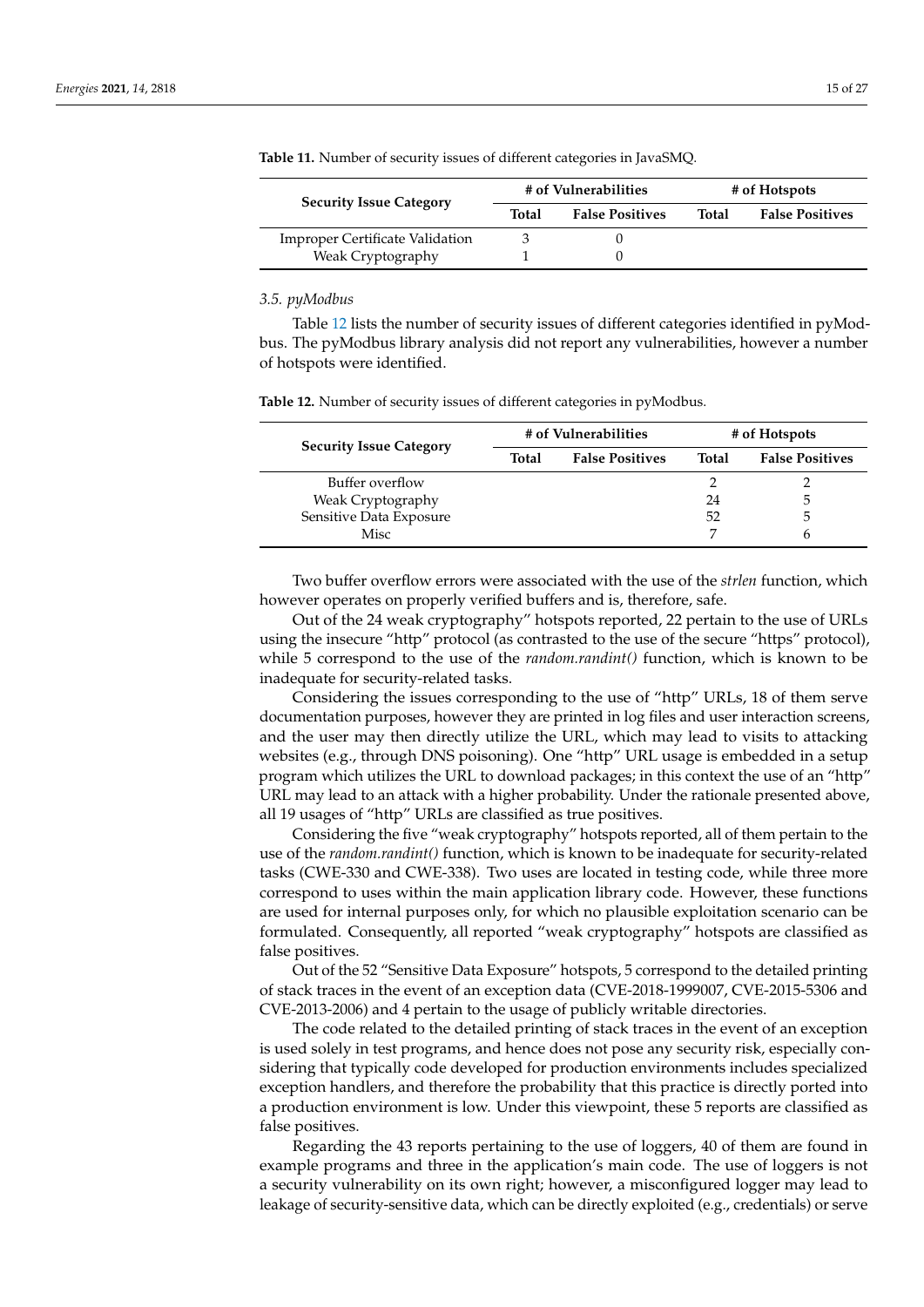| <b>Security Issue Category</b>         | # of Vulnerabilities |                        | # of Hotspots |                        |
|----------------------------------------|----------------------|------------------------|---------------|------------------------|
|                                        | Total                | <b>False Positives</b> | Total         | <b>False Positives</b> |
| <b>Improper Certificate Validation</b> |                      |                        |               |                        |
| Weak Cryptography                      |                      |                        |               |                        |

<span id="page-14-0"></span>**Table 11.** Number of security issues of different categories in JavaSMQ.

## *3.5. pyModbus*

Table [12](#page-14-1) lists the number of security issues of different categories identified in pyModbus. The pyModbus library analysis did not report any vulnerabilities, however a number of hotspots were identified.

|                                |       | # of Vulnerabilities   | # of Hotspots |                        |  |
|--------------------------------|-------|------------------------|---------------|------------------------|--|
| <b>Security Issue Category</b> | Total | <b>False Positives</b> | <b>Total</b>  | <b>False Positives</b> |  |
| Buffer overflow                |       |                        |               |                        |  |
| Weak Cryptography              |       |                        | 24            | .5                     |  |
| Sensitive Data Exposure        |       |                        | 52            | .5                     |  |
| Misc                           |       |                        |               |                        |  |

<span id="page-14-1"></span>**Table 12.** Number of security issues of different categories in pyModbus.

Two buffer overflow errors were associated with the use of the *strlen* function, which however operates on properly verified buffers and is, therefore, safe.

Out of the 24 weak cryptography" hotspots reported, 22 pertain to the use of URLs using the insecure "http" protocol (as contrasted to the use of the secure "https" protocol), while 5 correspond to the use of the *random.randint()* function, which is known to be inadequate for security-related tasks.

Considering the issues corresponding to the use of "http" URLs, 18 of them serve documentation purposes, however they are printed in log files and user interaction screens, and the user may then directly utilize the URL, which may lead to visits to attacking websites (e.g., through DNS poisoning). One "http" URL usage is embedded in a setup program which utilizes the URL to download packages; in this context the use of an "http" URL may lead to an attack with a higher probability. Under the rationale presented above, all 19 usages of "http" URLs are classified as true positives.

Considering the five "weak cryptography" hotspots reported, all of them pertain to the use of the *random.randint()* function, which is known to be inadequate for security-related tasks (CWE-330 and CWE-338). Two uses are located in testing code, while three more correspond to uses within the main application library code. However, these functions are used for internal purposes only, for which no plausible exploitation scenario can be formulated. Consequently, all reported "weak cryptography" hotspots are classified as false positives.

Out of the 52 "Sensitive Data Exposure" hotspots, 5 correspond to the detailed printing of stack traces in the event of an exception data (CVE-2018-1999007, CVE-2015-5306 and CVE-2013-2006) and 4 pertain to the usage of publicly writable directories.

The code related to the detailed printing of stack traces in the event of an exception is used solely in test programs, and hence does not pose any security risk, especially considering that typically code developed for production environments includes specialized exception handlers, and therefore the probability that this practice is directly ported into a production environment is low. Under this viewpoint, these 5 reports are classified as false positives.

Regarding the 43 reports pertaining to the use of loggers, 40 of them are found in example programs and three in the application's main code. The use of loggers is not a security vulnerability on its own right; however, a misconfigured logger may lead to leakage of security-sensitive data, which can be directly exploited (e.g., credentials) or serve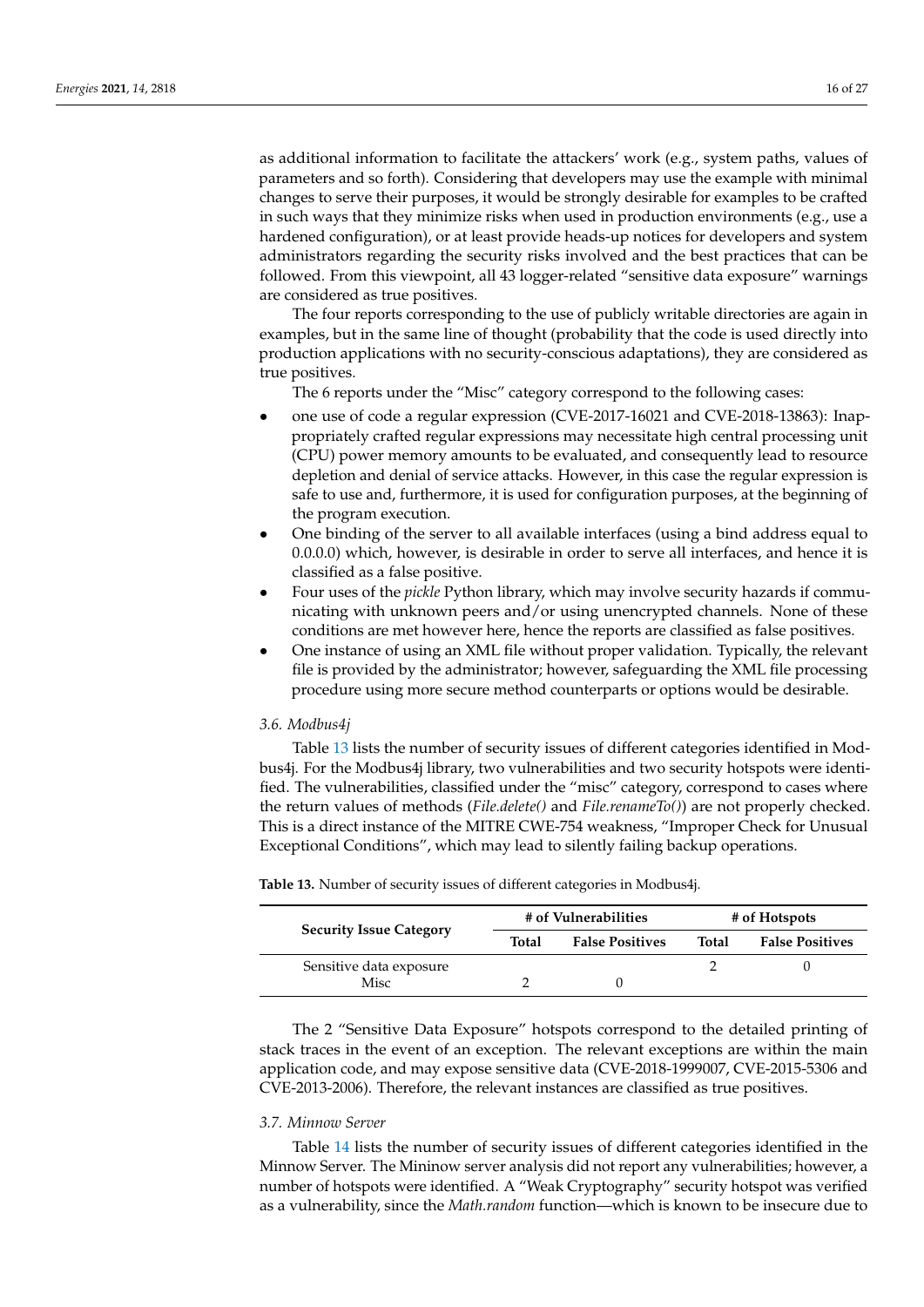as additional information to facilitate the attackers' work (e.g., system paths, values of parameters and so forth). Considering that developers may use the example with minimal changes to serve their purposes, it would be strongly desirable for examples to be crafted in such ways that they minimize risks when used in production environments (e.g., use a hardened configuration), or at least provide heads-up notices for developers and system administrators regarding the security risks involved and the best practices that can be followed. From this viewpoint, all 43 logger-related "sensitive data exposure" warnings are considered as true positives.

The four reports corresponding to the use of publicly writable directories are again in examples, but in the same line of thought (probability that the code is used directly into production applications with no security-conscious adaptations), they are considered as true positives.

The 6 reports under the "Misc" category correspond to the following cases:

- one use of code a regular expression (CVE-2017-16021 and CVE-2018-13863): Inappropriately crafted regular expressions may necessitate high central processing unit (CPU) power memory amounts to be evaluated, and consequently lead to resource depletion and denial of service attacks. However, in this case the regular expression is safe to use and, furthermore, it is used for configuration purposes, at the beginning of the program execution.
- One binding of the server to all available interfaces (using a bind address equal to 0.0.0.0) which, however, is desirable in order to serve all interfaces, and hence it is classified as a false positive.
- Four uses of the *pickle* Python library, which may involve security hazards if communicating with unknown peers and/or using unencrypted channels. None of these conditions are met however here, hence the reports are classified as false positives.
- One instance of using an XML file without proper validation. Typically, the relevant file is provided by the administrator; however, safeguarding the XML file processing procedure using more secure method counterparts or options would be desirable.

#### <span id="page-15-1"></span>*3.6. Modbus4j*

Table [13](#page-15-0) lists the number of security issues of different categories identified in Modbus4j. For the Modbus4j library, two vulnerabilities and two security hotspots were identified. The vulnerabilities, classified under the "misc" category, correspond to cases where the return values of methods (*File.delete()* and *File.renameTo()*) are not properly checked. This is a direct instance of the MITRE CWE-754 weakness, "Improper Check for Unusual Exceptional Conditions", which may lead to silently failing backup operations.

| <b>Security Issue Category</b> | # of Vulnerabilities |                        | # of Hotspots |                        |
|--------------------------------|----------------------|------------------------|---------------|------------------------|
|                                | Total                | <b>False Positives</b> | Total         | <b>False Positives</b> |
| Sensitive data exposure        |                      |                        |               |                        |
| Misc                           |                      |                        |               |                        |

<span id="page-15-0"></span>**Table 13.** Number of security issues of different categories in Modbus4j.

The 2 "Sensitive Data Exposure" hotspots correspond to the detailed printing of stack traces in the event of an exception. The relevant exceptions are within the main application code, and may expose sensitive data (CVE-2018-1999007, CVE-2015-5306 and CVE-2013-2006). Therefore, the relevant instances are classified as true positives.

## *3.7. Minnow Server*

Table [14](#page-16-1) lists the number of security issues of different categories identified in the Minnow Server. The Mininow server analysis did not report any vulnerabilities; however, a number of hotspots were identified. A "Weak Cryptography" security hotspot was verified as a vulnerability, since the *Math.random* function—which is known to be insecure due to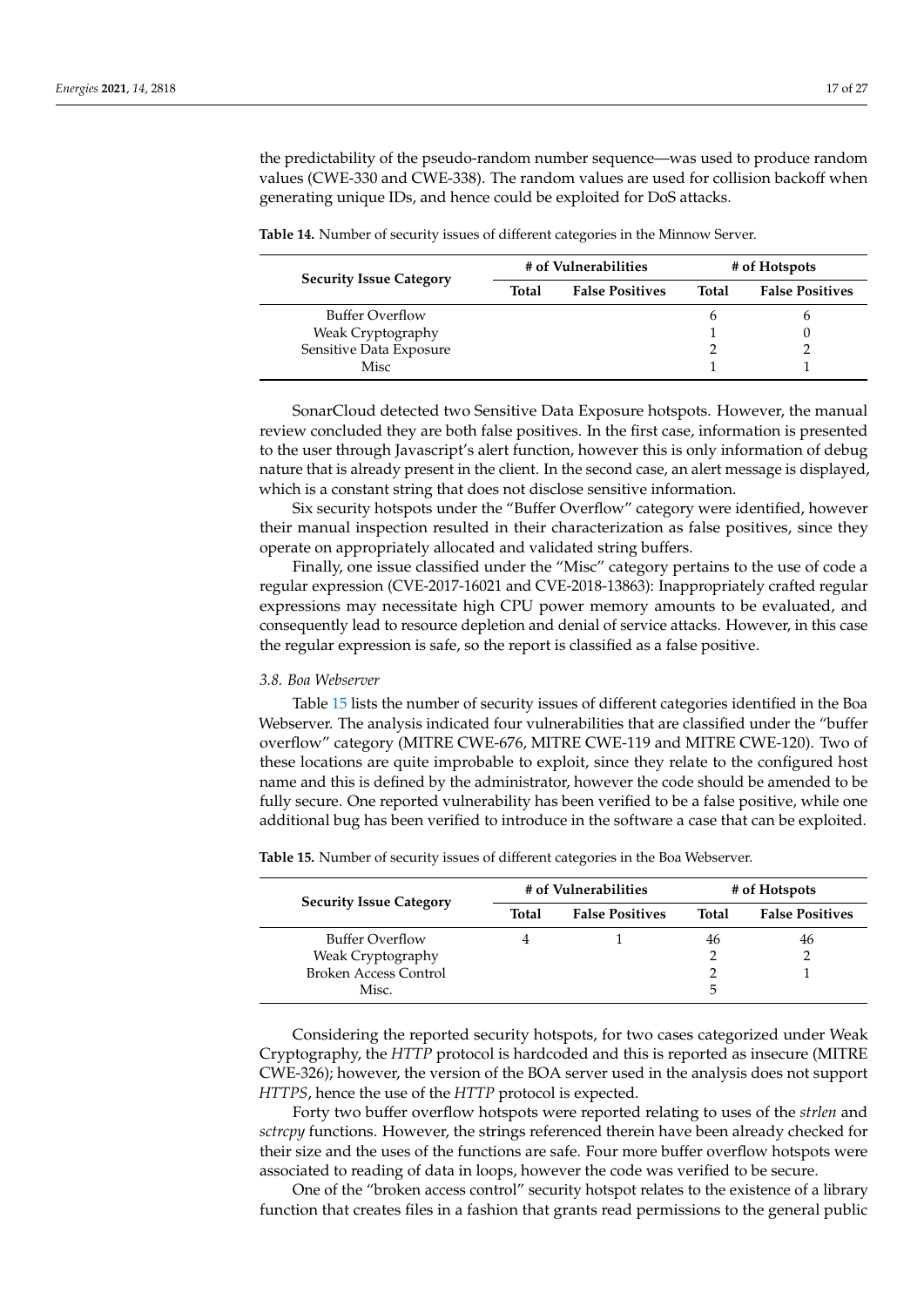the predictability of the pseudo-random number sequence—was used to produce random values (CWE-330 and CWE-338). The random values are used for collision backoff when generating unique IDs, and hence could be exploited for DoS attacks.

<span id="page-16-1"></span>**Table 14.** Number of security issues of different categories in the Minnow Server.

| <b>Security Issue Category</b> | # of Vulnerabilities |                        | # of Hotspots |                        |
|--------------------------------|----------------------|------------------------|---------------|------------------------|
|                                | Total                | <b>False Positives</b> | <b>Total</b>  | <b>False Positives</b> |
| <b>Buffer Overflow</b>         |                      |                        | h             |                        |
| Weak Cryptography              |                      |                        |               |                        |
| Sensitive Data Exposure        |                      |                        |               |                        |
| Misc                           |                      |                        |               |                        |

SonarCloud detected two Sensitive Data Exposure hotspots. However, the manual review concluded they are both false positives. In the first case, information is presented to the user through Javascript's alert function, however this is only information of debug nature that is already present in the client. In the second case, an alert message is displayed, which is a constant string that does not disclose sensitive information.

Six security hotspots under the "Buffer Overflow" category were identified, however their manual inspection resulted in their characterization as false positives, since they operate on appropriately allocated and validated string buffers.

Finally, one issue classified under the "Misc" category pertains to the use of code a regular expression (CVE-2017-16021 and CVE-2018-13863): Inappropriately crafted regular expressions may necessitate high CPU power memory amounts to be evaluated, and consequently lead to resource depletion and denial of service attacks. However, in this case the regular expression is safe, so the report is classified as a false positive.

#### <span id="page-16-0"></span>*3.8. Boa Webserver*

Table [15](#page-16-2) lists the number of security issues of different categories identified in the Boa Webserver. The analysis indicated four vulnerabilities that are classified under the "buffer overflow" category (MITRE CWE-676, MITRE CWE-119 and MITRE CWE-120). Two of these locations are quite improbable to exploit, since they relate to the configured host name and this is defined by the administrator, however the code should be amended to be fully secure. One reported vulnerability has been verified to be a false positive, while one additional bug has been verified to introduce in the software a case that can be exploited.

| <b>Security Issue Category</b> | # of Vulnerabilities |                        | # of Hotspots |                        |
|--------------------------------|----------------------|------------------------|---------------|------------------------|
|                                | Total                | <b>False Positives</b> | Total         | <b>False Positives</b> |
| Buffer Overflow                |                      |                        | 46            | 46                     |
| Weak Cryptography              |                      |                        |               |                        |
| <b>Broken Access Control</b>   |                      |                        |               |                        |
| Misc.                          |                      |                        | 5             |                        |

<span id="page-16-2"></span>**Table 15.** Number of security issues of different categories in the Boa Webserver.

Considering the reported security hotspots, for two cases categorized under Weak Cryptography, the *HTTP* protocol is hardcoded and this is reported as insecure (MITRE CWE-326); however, the version of the BOA server used in the analysis does not support *HTTPS*, hence the use of the *HTTP* protocol is expected.

Forty two buffer overflow hotspots were reported relating to uses of the *strlen* and *sctrcpy* functions. However, the strings referenced therein have been already checked for their size and the uses of the functions are safe. Four more buffer overflow hotspots were associated to reading of data in loops, however the code was verified to be secure.

One of the "broken access control" security hotspot relates to the existence of a library function that creates files in a fashion that grants read permissions to the general public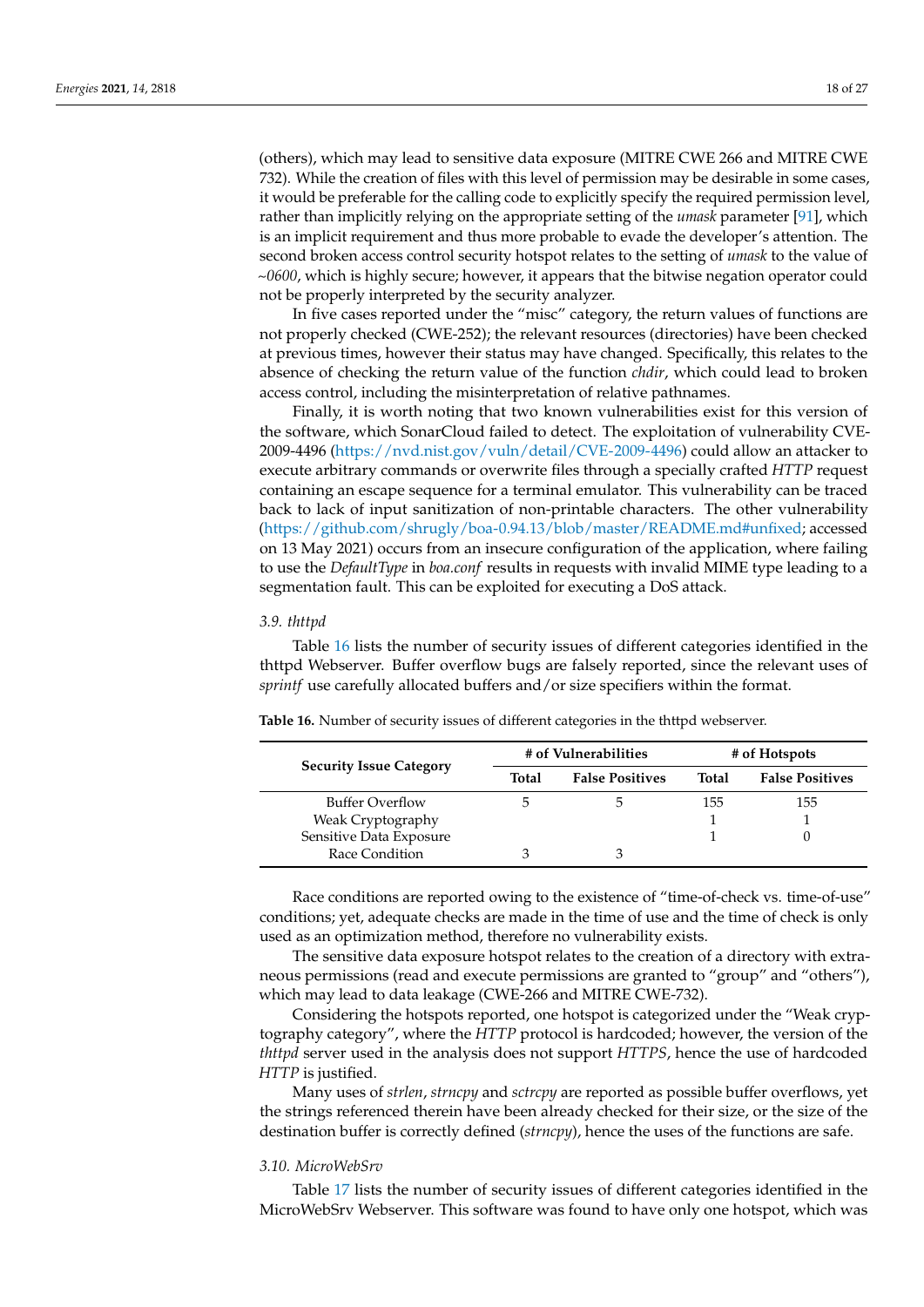(others), which may lead to sensitive data exposure (MITRE CWE 266 and MITRE CWE 732). While the creation of files with this level of permission may be desirable in some cases, it would be preferable for the calling code to explicitly specify the required permission level, rather than implicitly relying on the appropriate setting of the *umask* parameter [\[91\]](#page-25-21), which is an implicit requirement and thus more probable to evade the developer's attention. The second broken access control security hotspot relates to the setting of *umask* to the value of *~0600*, which is highly secure; however, it appears that the bitwise negation operator could not be properly interpreted by the security analyzer.

In five cases reported under the "misc" category, the return values of functions are not properly checked (CWE-252); the relevant resources (directories) have been checked at previous times, however their status may have changed. Specifically, this relates to the absence of checking the return value of the function *chdir*, which could lead to broken access control, including the misinterpretation of relative pathnames.

Finally, it is worth noting that two known vulnerabilities exist for this version of the software, which SonarCloud failed to detect. The exploitation of vulnerability CVE-2009-4496 [\(https://nvd.nist.gov/vuln/detail/CVE-2009-4496\)](https://nvd.nist.gov/vuln/detail/CVE-2009-4496) could allow an attacker to execute arbitrary commands or overwrite files through a specially crafted *HTTP* request containing an escape sequence for a terminal emulator. This vulnerability can be traced back to lack of input sanitization of non-printable characters. The other vulnerability [\(https://github.com/shrugly/boa-0.94.13/blob/master/README.md#unfixed;](https://github.com/shrugly/boa-0.94.13/blob/master/README.md#unfixed) accessed on 13 May 2021) occurs from an insecure configuration of the application, where failing to use the *DefaultType* in *boa.conf* results in requests with invalid MIME type leading to a segmentation fault. This can be exploited for executing a DoS attack.

## *3.9. thttpd*

Table [16](#page-17-0) lists the number of security issues of different categories identified in the thttpd Webserver. Buffer overflow bugs are falsely reported, since the relevant uses of *sprintf* use carefully allocated buffers and/or size specifiers within the format.

| <b>Security Issue Category</b> | # of Vulnerabilities |                        | # of Hotspots |                        |
|--------------------------------|----------------------|------------------------|---------------|------------------------|
|                                | Total                | <b>False Positives</b> | Total         | <b>False Positives</b> |
| <b>Buffer Overflow</b>         | $\mathcal{D}$        | ۰,                     | 155           | 155                    |
| Weak Cryptography              |                      |                        |               |                        |
| Sensitive Data Exposure        |                      |                        |               |                        |
| Race Condition                 |                      |                        |               |                        |

<span id="page-17-0"></span>**Table 16.** Number of security issues of different categories in the thttpd webserver.

Race conditions are reported owing to the existence of "time-of-check vs. time-of-use" conditions; yet, adequate checks are made in the time of use and the time of check is only used as an optimization method, therefore no vulnerability exists.

The sensitive data exposure hotspot relates to the creation of a directory with extraneous permissions (read and execute permissions are granted to "group" and "others"), which may lead to data leakage (CWE-266 and MITRE CWE-732).

Considering the hotspots reported, one hotspot is categorized under the "Weak cryptography category", where the *HTTP* protocol is hardcoded; however, the version of the *thttpd* server used in the analysis does not support *HTTPS*, hence the use of hardcoded *HTTP* is justified.

Many uses of *strlen*, *strncpy* and *sctrcpy* are reported as possible buffer overflows, yet the strings referenced therein have been already checked for their size, or the size of the destination buffer is correctly defined (*strncpy*), hence the uses of the functions are safe.

## *3.10. MicroWebSrv*

Table [17](#page-18-0) lists the number of security issues of different categories identified in the MicroWebSrv Webserver. This software was found to have only one hotspot, which was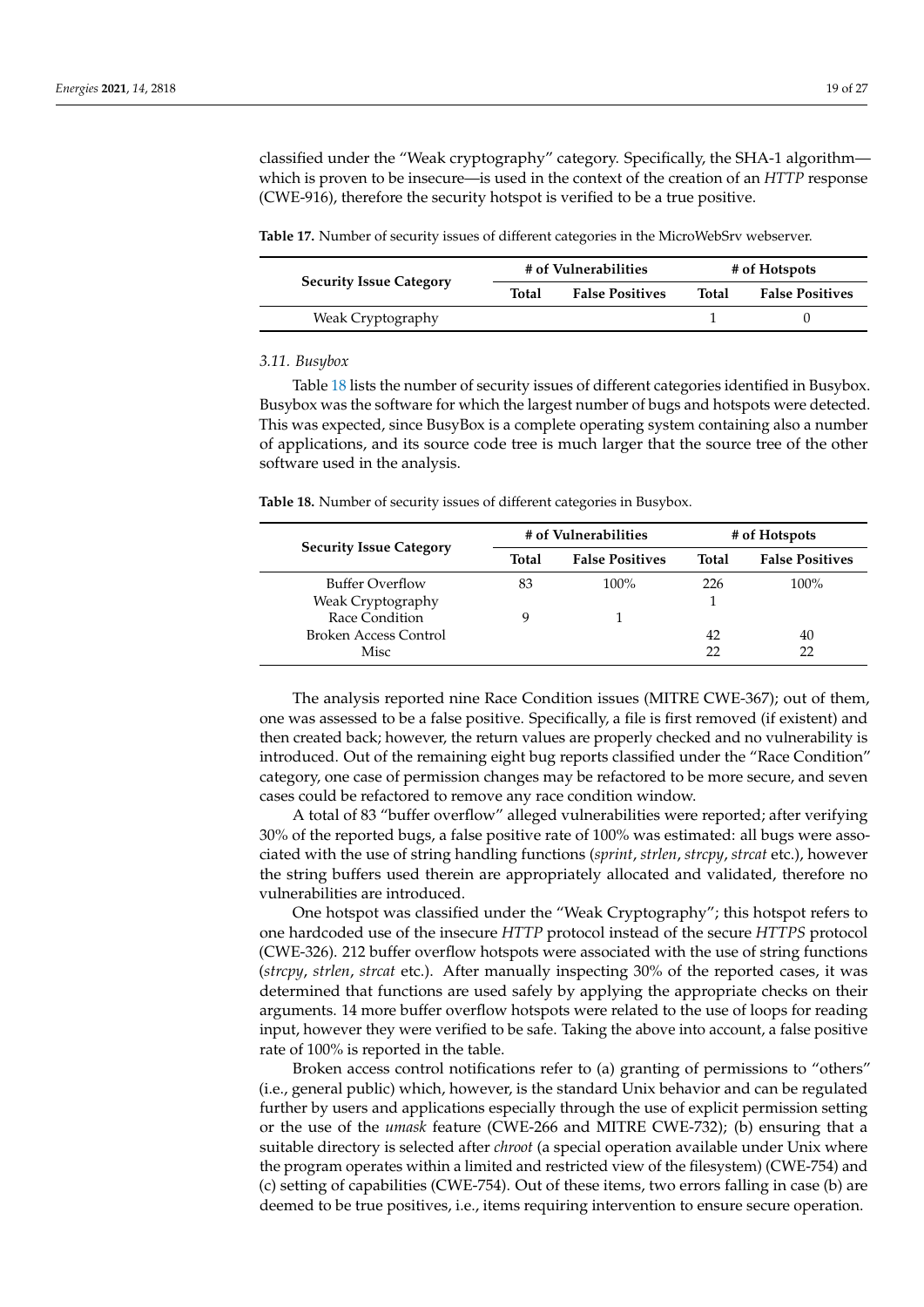classified under the "Weak cryptography" category. Specifically, the SHA-1 algorithm which is proven to be insecure—is used in the context of the creation of an *HTTP* response (CWE-916), therefore the security hotspot is verified to be a true positive.

<span id="page-18-0"></span>**Table 17.** Number of security issues of different categories in the MicroWebSrv webserver.

| <b>Security Issue Category</b> | # of Vulnerabilities |                        | # of Hotspots |                        |
|--------------------------------|----------------------|------------------------|---------------|------------------------|
|                                | Total                | <b>False Positives</b> | Total         | <b>False Positives</b> |
| Weak Cryptography              |                      |                        |               |                        |

#### *3.11. Busybox*

Table [18](#page-18-1) lists the number of security issues of different categories identified in Busybox. Busybox was the software for which the largest number of bugs and hotspots were detected. This was expected, since BusyBox is a complete operating system containing also a number of applications, and its source code tree is much larger that the source tree of the other software used in the analysis.

<span id="page-18-1"></span>**Table 18.** Number of security issues of different categories in Busybox.

| <b>Security Issue Category</b> | # of Vulnerabilities |                        | # of Hotspots |                        |
|--------------------------------|----------------------|------------------------|---------------|------------------------|
|                                | Total                | <b>False Positives</b> | <b>Total</b>  | <b>False Positives</b> |
| Buffer Overflow                | 83                   | $100\%$                | 226           | $100\%$                |
| Weak Cryptography              |                      |                        |               |                        |
| Race Condition                 | q                    |                        |               |                        |
| Broken Access Control          |                      |                        | 42            | 40                     |
| Misc                           |                      |                        | 22            |                        |

The analysis reported nine Race Condition issues (MITRE CWE-367); out of them, one was assessed to be a false positive. Specifically, a file is first removed (if existent) and then created back; however, the return values are properly checked and no vulnerability is introduced. Out of the remaining eight bug reports classified under the "Race Condition" category, one case of permission changes may be refactored to be more secure, and seven cases could be refactored to remove any race condition window.

A total of 83 "buffer overflow" alleged vulnerabilities were reported; after verifying 30% of the reported bugs, a false positive rate of 100% was estimated: all bugs were associated with the use of string handling functions (*sprint*, *strlen*, *strcpy*, *strcat* etc.), however the string buffers used therein are appropriately allocated and validated, therefore no vulnerabilities are introduced.

One hotspot was classified under the "Weak Cryptography"; this hotspot refers to one hardcoded use of the insecure *HTTP* protocol instead of the secure *HTTPS* protocol (CWE-326). 212 buffer overflow hotspots were associated with the use of string functions (*strcpy*, *strlen*, *strcat* etc.). After manually inspecting 30% of the reported cases, it was determined that functions are used safely by applying the appropriate checks on their arguments. 14 more buffer overflow hotspots were related to the use of loops for reading input, however they were verified to be safe. Taking the above into account, a false positive rate of 100% is reported in the table.

Broken access control notifications refer to (a) granting of permissions to "others" (i.e., general public) which, however, is the standard Unix behavior and can be regulated further by users and applications especially through the use of explicit permission setting or the use of the *umask* feature (CWE-266 and MITRE CWE-732); (b) ensuring that a suitable directory is selected after *chroot* (a special operation available under Unix where the program operates within a limited and restricted view of the filesystem) (CWE-754) and (c) setting of capabilities (CWE-754). Out of these items, two errors falling in case (b) are deemed to be true positives, i.e., items requiring intervention to ensure secure operation.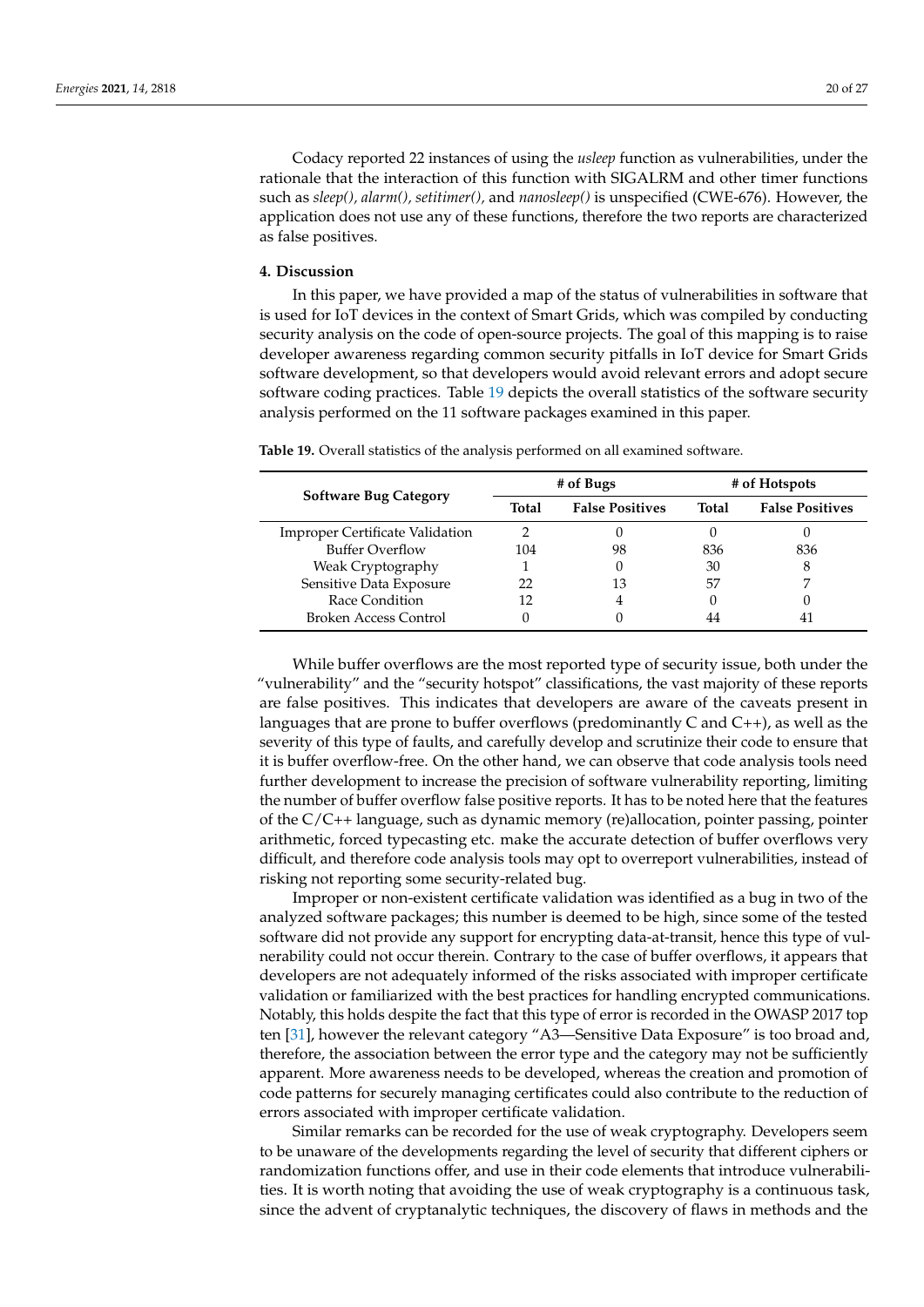Codacy reported 22 instances of using the *usleep* function as vulnerabilities, under the rationale that the interaction of this function with SIGALRM and other timer functions such as *sleep(), alarm(), setitimer(),* and *nanosleep()* is unspecified (CWE-676). However, the application does not use any of these functions, therefore the two reports are characterized as false positives.

#### <span id="page-19-0"></span>**4. Discussion**

In this paper, we have provided a map of the status of vulnerabilities in software that is used for IoT devices in the context of Smart Grids, which was compiled by conducting security analysis on the code of open-source projects. The goal of this mapping is to raise developer awareness regarding common security pitfalls in IoT device for Smart Grids software development, so that developers would avoid relevant errors and adopt secure software coding practices. Table [19](#page-19-1) depicts the overall statistics of the software security analysis performed on the 11 software packages examined in this paper.

<span id="page-19-1"></span>**Table 19.** Overall statistics of the analysis performed on all examined software.

| <b>Software Bug Category</b>           | # of Bugs |                        | # of Hotspots |                        |
|----------------------------------------|-----------|------------------------|---------------|------------------------|
|                                        | Total     | <b>False Positives</b> | Total         | <b>False Positives</b> |
| <b>Improper Certificate Validation</b> |           |                        |               |                        |
| <b>Buffer Overflow</b>                 | 104       | 98                     | 836           | 836                    |
| Weak Cryptography                      |           |                        | 30            |                        |
| Sensitive Data Exposure                |           | 13                     | 57            |                        |
| Race Condition                         |           | 4                      |               |                        |
| <b>Broken Access Control</b>           |           |                        | 44            |                        |

While buffer overflows are the most reported type of security issue, both under the "vulnerability" and the "security hotspot" classifications, the vast majority of these reports are false positives. This indicates that developers are aware of the caveats present in languages that are prone to buffer overflows (predominantly C and C++), as well as the severity of this type of faults, and carefully develop and scrutinize their code to ensure that it is buffer overflow-free. On the other hand, we can observe that code analysis tools need further development to increase the precision of software vulnerability reporting, limiting the number of buffer overflow false positive reports. It has to be noted here that the features of the C/C++ language, such as dynamic memory (re)allocation, pointer passing, pointer arithmetic, forced typecasting etc. make the accurate detection of buffer overflows very difficult, and therefore code analysis tools may opt to overreport vulnerabilities, instead of risking not reporting some security-related bug.

Improper or non-existent certificate validation was identified as a bug in two of the analyzed software packages; this number is deemed to be high, since some of the tested software did not provide any support for encrypting data-at-transit, hence this type of vulnerability could not occur therein. Contrary to the case of buffer overflows, it appears that developers are not adequately informed of the risks associated with improper certificate validation or familiarized with the best practices for handling encrypted communications. Notably, this holds despite the fact that this type of error is recorded in the OWASP 2017 top ten [\[31\]](#page-23-16), however the relevant category "A3—Sensitive Data Exposure" is too broad and, therefore, the association between the error type and the category may not be sufficiently apparent. More awareness needs to be developed, whereas the creation and promotion of code patterns for securely managing certificates could also contribute to the reduction of errors associated with improper certificate validation.

Similar remarks can be recorded for the use of weak cryptography. Developers seem to be unaware of the developments regarding the level of security that different ciphers or randomization functions offer, and use in their code elements that introduce vulnerabilities. It is worth noting that avoiding the use of weak cryptography is a continuous task, since the advent of cryptanalytic techniques, the discovery of flaws in methods and the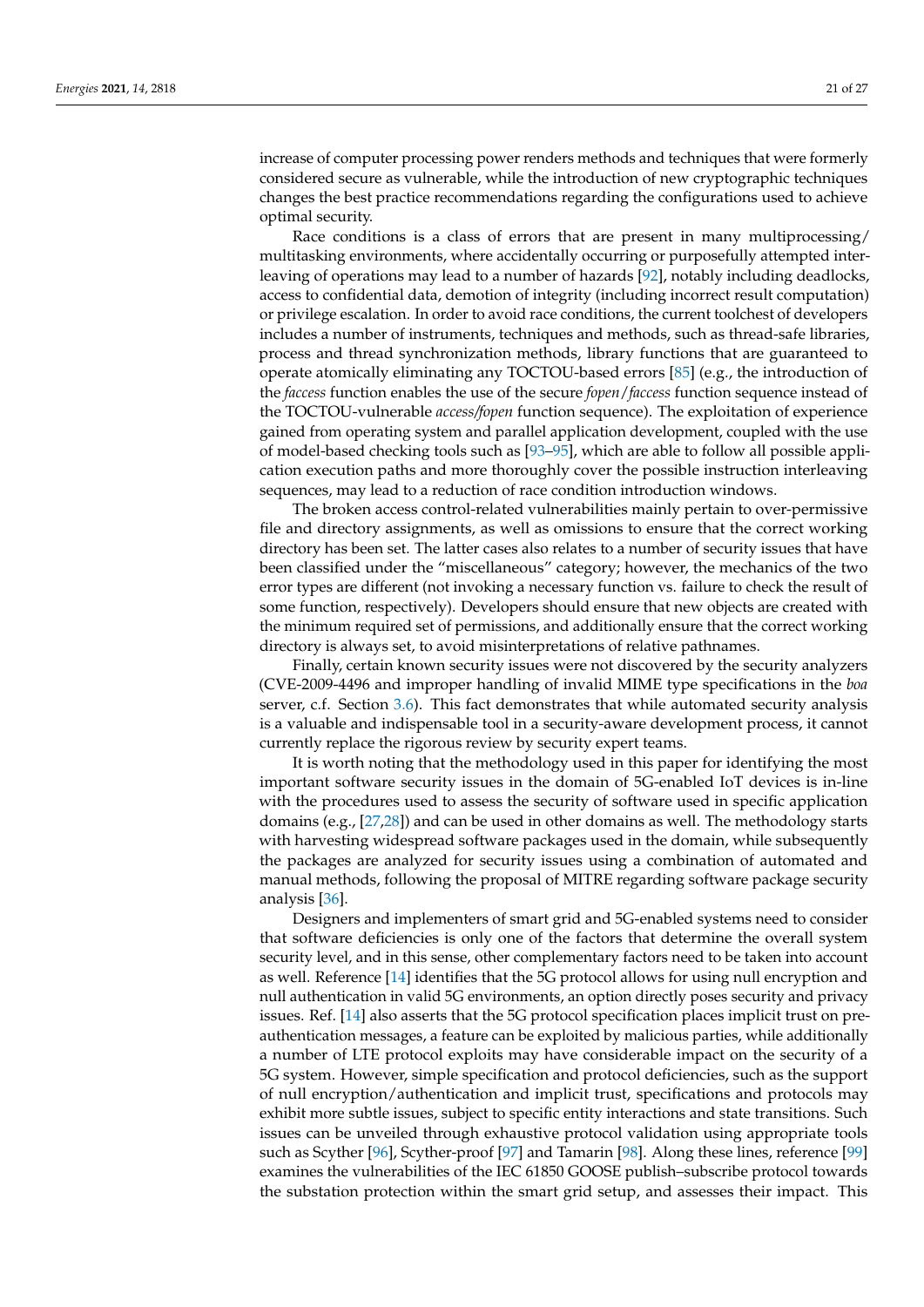increase of computer processing power renders methods and techniques that were formerly considered secure as vulnerable, while the introduction of new cryptographic techniques changes the best practice recommendations regarding the configurations used to achieve optimal security.

Race conditions is a class of errors that are present in many multiprocessing/ multitasking environments, where accidentally occurring or purposefully attempted interleaving of operations may lead to a number of hazards [\[92\]](#page-25-22), notably including deadlocks, access to confidential data, demotion of integrity (including incorrect result computation) or privilege escalation. In order to avoid race conditions, the current toolchest of developers includes a number of instruments, techniques and methods, such as thread-safe libraries, process and thread synchronization methods, library functions that are guaranteed to operate atomically eliminating any TOCTOU-based errors [\[85\]](#page-25-15) (e.g., the introduction of the *faccess* function enables the use of the secure *fopen*/*faccess* function sequence instead of the TOCTOU-vulnerable *access/fopen* function sequence). The exploitation of experience gained from operating system and parallel application development, coupled with the use of model-based checking tools such as [\[93](#page-25-23)[–95\]](#page-25-24), which are able to follow all possible application execution paths and more thoroughly cover the possible instruction interleaving sequences, may lead to a reduction of race condition introduction windows.

The broken access control-related vulnerabilities mainly pertain to over-permissive file and directory assignments, as well as omissions to ensure that the correct working directory has been set. The latter cases also relates to a number of security issues that have been classified under the "miscellaneous" category; however, the mechanics of the two error types are different (not invoking a necessary function vs. failure to check the result of some function, respectively). Developers should ensure that new objects are created with the minimum required set of permissions, and additionally ensure that the correct working directory is always set, to avoid misinterpretations of relative pathnames.

Finally, certain known security issues were not discovered by the security analyzers (CVE-2009-4496 and improper handling of invalid MIME type specifications in the *boa* server, c.f. Section [3.6\)](#page-15-1). This fact demonstrates that while automated security analysis is a valuable and indispensable tool in a security-aware development process, it cannot currently replace the rigorous review by security expert teams.

It is worth noting that the methodology used in this paper for identifying the most important software security issues in the domain of 5G-enabled IoT devices is in-line with the procedures used to assess the security of software used in specific application domains (e.g., [\[27,](#page-23-12)[28\]](#page-23-13)) and can be used in other domains as well. The methodology starts with harvesting widespread software packages used in the domain, while subsequently the packages are analyzed for security issues using a combination of automated and manual methods, following the proposal of MITRE regarding software package security analysis [\[36\]](#page-23-21).

Designers and implementers of smart grid and 5G-enabled systems need to consider that software deficiencies is only one of the factors that determine the overall system security level, and in this sense, other complementary factors need to be taken into account as well. Reference [\[14\]](#page-23-4) identifies that the 5G protocol allows for using null encryption and null authentication in valid 5G environments, an option directly poses security and privacy issues. Ref. [\[14\]](#page-23-4) also asserts that the 5G protocol specification places implicit trust on preauthentication messages, a feature can be exploited by malicious parties, while additionally a number of LTE protocol exploits may have considerable impact on the security of a 5G system. However, simple specification and protocol deficiencies, such as the support of null encryption/authentication and implicit trust, specifications and protocols may exhibit more subtle issues, subject to specific entity interactions and state transitions. Such issues can be unveiled through exhaustive protocol validation using appropriate tools such as Scyther [\[96\]](#page-25-25), Scyther-proof [\[97\]](#page-25-26) and Tamarin [\[98\]](#page-25-27). Along these lines, reference [\[99\]](#page-25-28) examines the vulnerabilities of the IEC 61850 GOOSE publish–subscribe protocol towards the substation protection within the smart grid setup, and assesses their impact. This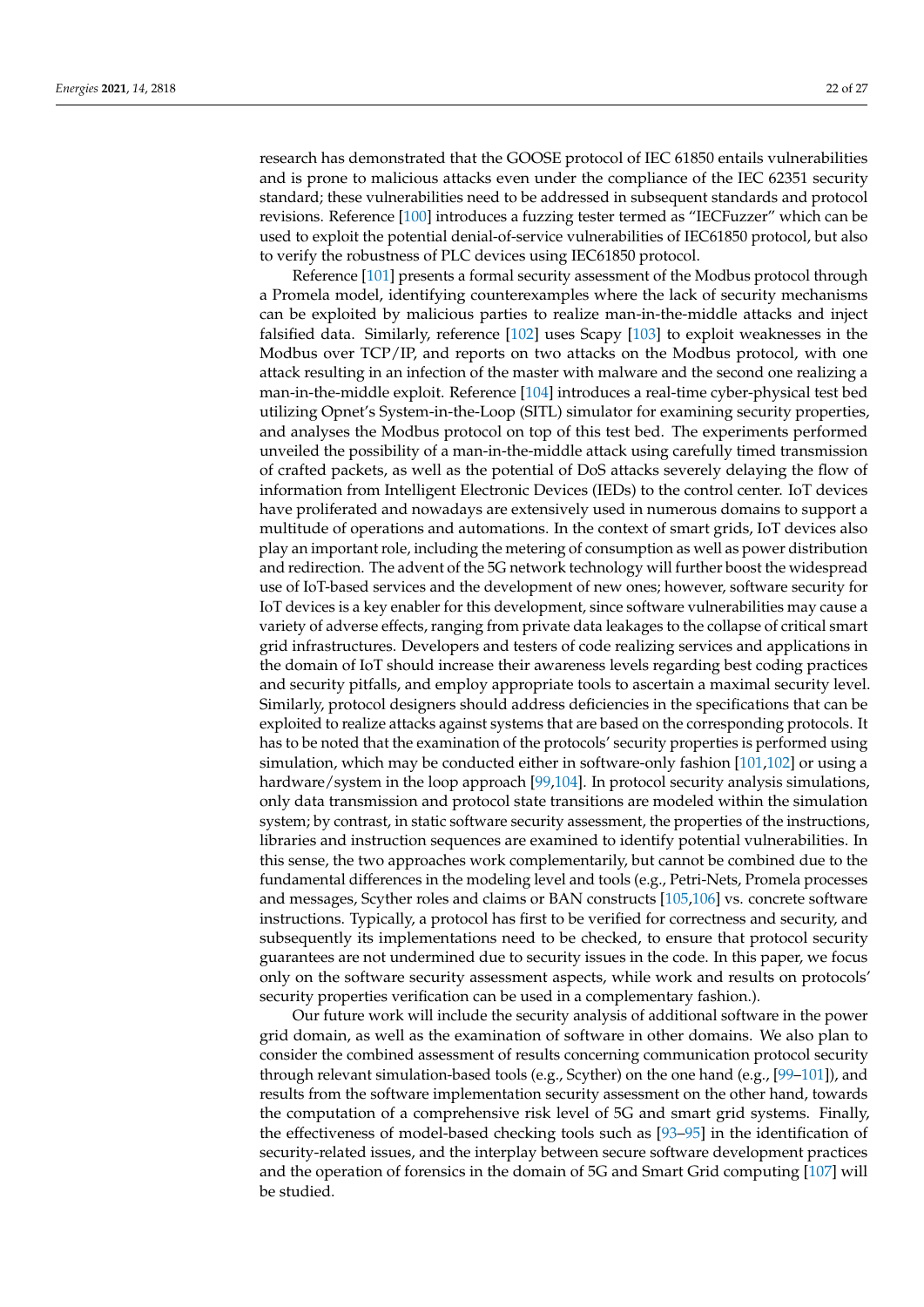research has demonstrated that the GOOSE protocol of IEC 61850 entails vulnerabilities and is prone to malicious attacks even under the compliance of the IEC 62351 security standard; these vulnerabilities need to be addressed in subsequent standards and protocol revisions. Reference [\[100\]](#page-26-0) introduces a fuzzing tester termed as "IECFuzzer" which can be used to exploit the potential denial-of-service vulnerabilities of IEC61850 protocol, but also to verify the robustness of PLC devices using IEC61850 protocol.

Reference [\[101\]](#page-26-1) presents a formal security assessment of the Modbus protocol through a Promela model, identifying counterexamples where the lack of security mechanisms can be exploited by malicious parties to realize man-in-the-middle attacks and inject falsified data. Similarly, reference [\[102\]](#page-26-2) uses Scapy [\[103\]](#page-26-3) to exploit weaknesses in the Modbus over TCP/IP, and reports on two attacks on the Modbus protocol, with one attack resulting in an infection of the master with malware and the second one realizing a man-in-the-middle exploit. Reference [\[104\]](#page-26-4) introduces a real-time cyber-physical test bed utilizing Opnet's System-in-the-Loop (SITL) simulator for examining security properties, and analyses the Modbus protocol on top of this test bed. The experiments performed unveiled the possibility of a man-in-the-middle attack using carefully timed transmission of crafted packets, as well as the potential of DoS attacks severely delaying the flow of information from Intelligent Electronic Devices (IEDs) to the control center. IoT devices have proliferated and nowadays are extensively used in numerous domains to support a multitude of operations and automations. In the context of smart grids, IoT devices also play an important role, including the metering of consumption as well as power distribution and redirection. The advent of the 5G network technology will further boost the widespread use of IoT-based services and the development of new ones; however, software security for IoT devices is a key enabler for this development, since software vulnerabilities may cause a variety of adverse effects, ranging from private data leakages to the collapse of critical smart grid infrastructures. Developers and testers of code realizing services and applications in the domain of IoT should increase their awareness levels regarding best coding practices and security pitfalls, and employ appropriate tools to ascertain a maximal security level. Similarly, protocol designers should address deficiencies in the specifications that can be exploited to realize attacks against systems that are based on the corresponding protocols. It has to be noted that the examination of the protocols' security properties is performed using simulation, which may be conducted either in software-only fashion [\[101,](#page-26-1)[102\]](#page-26-2) or using a hardware/system in the loop approach [\[99](#page-25-28)[,104\]](#page-26-4). In protocol security analysis simulations, only data transmission and protocol state transitions are modeled within the simulation system; by contrast, in static software security assessment, the properties of the instructions, libraries and instruction sequences are examined to identify potential vulnerabilities. In this sense, the two approaches work complementarily, but cannot be combined due to the fundamental differences in the modeling level and tools (e.g., Petri-Nets, Promela processes and messages, Scyther roles and claims or BAN constructs [\[105,](#page-26-5)[106\]](#page-26-6) vs. concrete software instructions. Typically, a protocol has first to be verified for correctness and security, and subsequently its implementations need to be checked, to ensure that protocol security guarantees are not undermined due to security issues in the code. In this paper, we focus only on the software security assessment aspects, while work and results on protocols' security properties verification can be used in a complementary fashion.).

Our future work will include the security analysis of additional software in the power grid domain, as well as the examination of software in other domains. We also plan to consider the combined assessment of results concerning communication protocol security through relevant simulation-based tools (e.g., Scyther) on the one hand (e.g., [\[99](#page-25-28)[–101\]](#page-26-1)), and results from the software implementation security assessment on the other hand, towards the computation of a comprehensive risk level of 5G and smart grid systems. Finally, the effectiveness of model-based checking tools such as [\[93](#page-25-23)[–95\]](#page-25-24) in the identification of security-related issues, and the interplay between secure software development practices and the operation of forensics in the domain of 5G and Smart Grid computing [\[107\]](#page-26-7) will be studied.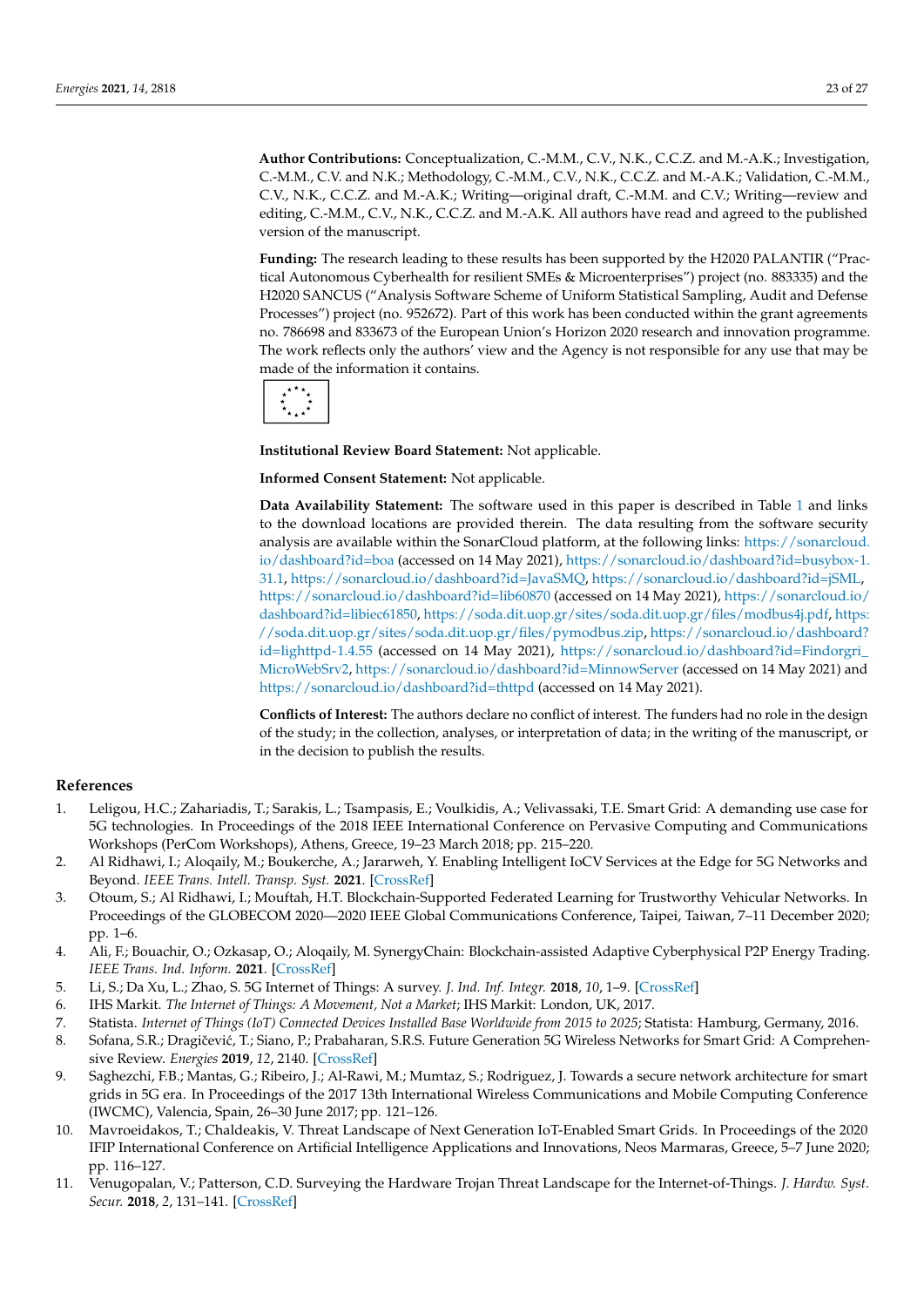**Author Contributions:** Conceptualization, C.-M.M., C.V., N.K., C.C.Z. and M.-A.K.; Investigation, **Author Contributions:** Conceptualization, C.-M.M., C.V., N.K., C.C.Z. and M.-A.K.; Investigation, C.-M.M., C.V. and N.K.; Methodology, C.-M.M., C.V., N.K., C.C.Z. and M.-A.K.; Validation, C.-M.M., C.V., N.K., C.C.Z. and M.-A.K.; Writing—original draft, C.-M.M. and C.V.; Writing—review and editing, C.-M.M., C.V., N.K., C.C.Z. and M.-A.K. All authors have read and agreed to the published version of the manuscript.

**Funding:** The research leading to these results has been supported by the H2020 PALANTIR ("Prac-**Funding:** The research leading to these results has been supported by the H2020 PALANTIR ("Practical Autonomous Cyberhealth for resilient SMEs & Microenterprises") project (no. 883335) and the tical Autonomous Cyberhealth for resilient SMEs & Microenterprises") project (no. 883335) and the H2020 SANCUS ("Analysis Software Scheme of Uniform Statistical Sampling, Audit and Defense H2020 SANCUS ("Analysis Software Scheme of Uniform Statistical Sampling, Audit and Defense Processes") project (no. 952672). Part of this work has been conducted within the grant agreements Processes") project (no. 952672). Part of this work has been conducted within the grant agreements no. 786698 and 833673 of the European Union's Horizon 2020 research and innovation programme. no. 786698 and 833673 of the European Union's Horizon 2020 research and innovation programme. The work reflects only the authors' view and the Agency is not responsible for any use that may be The work reflects only the authors' view and the Agency is not responsible for any use that may be made of the information it contains. made of the information it contains.



**Institutional Review Board Statement:** Not applicable. **Institutional Review Board Statement:** Not applicable.

**Informed Consent Statement:** Not applicable. **Informed Consent Statement:** Not applicable.

**Data Availability Statement:** The software used in this paper is described in Table 1 and links to **Data Availability Statement:** The software used in this paper is described in Table [1](#page-6-0) and links the download locations are provided therein. The data resulting from the software security to the download locations are provided therein. The data resulting from the software security analysis are available within the SonarCloud platform, at the following links: [https://sonarcloud.](https://sonarcloud.io/dashboard?id=boa) board?id=boa (accessed on 14 May 2021), https://sonarcloud.io/dashboard?id=busybox-1.31.1, [io/dashboard?id=boa](https://sonarcloud.io/dashboard?id=boa) (accessed on 14 May 2021), [https://sonarcloud.io/dashboard?id=busybox-1.](https://sonarcloud.io/dashboard?id=busybox-1.31.1) https://sonarcloud.io/dashboard?id=JavaSMQ, https://sonarcloud.io/dashboard?id=jSML, [31.1,](https://sonarcloud.io/dashboard?id=busybox-1.31.1) [https://sonarcloud.io/dashboard?id=JavaSMQ,](https://sonarcloud.io/dashboard?id=JavaSMQ) [https://sonarcloud.io/dashboard?id=jSML,](https://sonarcloud.io/dashboard?id=jSML) https://sonarcloud.io/dashboard?id=lib60870 (accessed on 14 May 2021), https://sonarcloud.io/das[h-](https://sonarcloud.io/dashboard?id=lib60870)<https://sonarcloud.io/dashboard?id=lib60870> (accessed on 14 May 2021), [https://sonarcloud.io/](https://sonarcloud.io/dashboard?id=libiec61850)  $\frac{1}{100}$ , https://soda.dit.uop.gr/sites/soda.dit.uop.gr/sites/soda.dit.uop.gr/files/soda.dit.uop.gr/files/soda.dit.uop.gr/sites/soda.dit.uop.gr/files/soda.dit.uop.gr/files/soda.dit.uop.gr/files/soda.dit.uop.gr/files/so https://soda.dit.uop.gr/sites/soda.dit.uop.gr/files/pymodbus.zip, https://sonarcloud.io/dash-[dashboard?id=libiec61850,](https://sonarcloud.io/dashboard?id=libiec61850) [https://soda.dit.uop.gr/sites/soda.dit.uop.gr/files/modbus4j.pdf,](https://soda.dit.uop.gr/sites/soda.dit.uop.gr/files/modbus4j.pdf) [https:](https://soda.dit.uop.gr/sites/soda.dit.uop.gr/files/pymodbus.zip) board?id=lighttpd-1.4.55 (accessed on 14 May 2021), https://sonarcloud.io/dash-[//soda.dit.uop.gr/sites/soda.dit.uop.gr/files/pymodbus.zip,](https://soda.dit.uop.gr/sites/soda.dit.uop.gr/files/pymodbus.zip) [https://sonarcloud.io/dashboard?](https://sonarcloud.io/dashboard?id=lighttpd-1.4.55) [id=lighttpd-1.4.55](https://sonarcloud.io/dashboard?id=lighttpd-1.4.55) (accessed on 14 May 2021), [https://sonarcloud.io/dashboard?id=Findorgri\\_](https://sonarcloud.io/dashboard?id=Findorgri_MicroWebSrv2) [MicroWebSrv2,](https://sonarcloud.io/dashboard?id=Findorgri_MicroWebSrv2) <https://sonarcloud.io/dashboard?id=MinnowServer> (accessed on 14 May 2021) and<br>https://sonarcloud.io/dashboard?id=MinnowServer (accessed on 14 May 2021) and <https://sonarcloud.io/dashboard?id=thttpd> (accessed on 14 May 2021).

**Conflicts of Interest:** The authors declare no conflict of interest. The funders had no role in the **Conflicts of Interest:** The authors declare no conflict of interest. The funders had no role in the design of the study; in the collection, analyses, or interpretation of data; in the writing of the manuscript, or in the decision to publish the results.

## **References References**

- <span id="page-22-0"></span>1. Leligou, H.C.; Zahariadis, T.; Sarakis, L.; Tsampasis, E.; Voulkidis, A.; Velivassaki, T.E. Smart Grid: A demanding use case for 5G technologies. In Proceedings of the 2018 IEEE International Conference on Pervasive Computing and Communications Workshops (PerCom Workshops), Athens, Greece, 19–23 March 2018; pp. 215–220. Workshops (PerCom Workshops), Athens, Greece, 19–23 March 2018; pp. 215–220.
- <span id="page-22-1"></span>2. Al Ridhawi, I.; Aloqaily, M.; Boukerche, A.; Jararweh, Y. Enabling Intelligent IoCV Services at the Edge for 5G Networks and Beyond. *IEEE Trans. Intell. Transp. Syst.* **2021**, doi:10.1109/TITS.2021.3053095. Beyond. *IEEE Trans. Intell. Transp. Syst.* **2021**. [\[CrossRef\]](http://doi.org/10.1109/TITS.2021.3053095)
- 3. Otoum, S.; Al Ridhawi, I.; Mouftah, H.T. Blockchain-Supported Federated Learning for Trustworthy Vehicular Networks. In Proceedings of the GLOBECOM 2020—2020 IEEE Global Communications Conference, Taipei, Taiwan, 7–11 December 2020; pp. 1–6. pp. 1–6.
- <span id="page-22-2"></span>4. Ali, F.; Bouachir, O.; Ozkasap, O.; Aloqaily, M. SynergyChain: Blockchain-assisted Adaptive Cyberphysical P2P Energy Trading. 4. Ali, F.; Bouachir, O.; Ozkasap, O.; Aloqaily, M. SynergyChain: Blockchain-assisted Adaptive Cyberphysical P2P Energy Trading.<br>*IEEE Trans. Ind. Inform. 2021, ICrossPof*l *IEEE Trans. Ind. Inform.* **2021**. [\[CrossRef\]](http://doi.org/10.1109/TII.2020.3046744)
- <span id="page-22-3"></span>5. Li, S.; Da Xu, L.; Zhao, S. 5G Internet of Things: A survey. J. Ind. Inf. Integr. 2018, 10, 1–9. [\[CrossRef\]](http://doi.org/10.1016/j.jii.2018.01.005)
- <span id="page-22-4"></span>6. IHS Markit. *The Internet of Things: A Movement, Not a Market*; IHS Markit: London, UK, 2017. 6. IHS Markit. *The Internet of Things: A Movement, Not a Market*; IHS Markit: London, UK, 2017.
- <span id="page-22-5"></span>7. Statista. *Internet of Things (IoT) Connected Devices Installed Base Worldwide from 2015 to 2025*; Statista: Hamburg, Germany, 2016. 7. Statista. *Internet of Things (IoT) Connected Devices Installed Base Worldwide from 2015 to 2025*; Statista: Hamburg, Germany, 2016.
- <span id="page-22-6"></span>8. Sofana, S.R.; Dragičević, T.; Siano, P.; Prabaharan, S.R.S. Future Generation 5G Wireless Networks for Smart Grid: A Comprehen-Comprehensive Review. *Energies* **2019**, *12*, 2140, doi:10.3390/en12112140. sive Review. *Energies* **2019**, *12*, 2140. [\[CrossRef\]](http://doi.org/10.3390/en12112140)
- <span id="page-22-7"></span>9. Saghezchi, F.B.; Mantas, G.; Ribeiro, J.; Al-Rawi, M.; Mumtaz, S.; Rodriguez, J. Towards a secure network architecture for smart grids in 5G era. In Proceedings of the 2017 13th International Wireless Communications and Mobile Computing Conference (IWCMC), Valencia, Spain, 26–30 June 2017; pp. 121–126.
- <span id="page-22-8"></span>10. Mavroeidakos, T.; Chaldeakis, V. Threat Landscape of Next Generation IoT-Enabled Smart Grids. In Proceedings of the 2020 IFIP International Conference on Artificial Intelligence Applications and Innovations, Neos Marmaras, Greece, 5–7 June 2020; pp. 116–127.
- <span id="page-22-9"></span>11. Venugopalan, V.; Patterson, C.D. Surveying the Hardware Trojan Threat Landscape for the Internet-of-Things. *J. Hardw. Syst. Secur.* **2018**, *2*, 131–141. [\[CrossRef\]](http://doi.org/10.1007/s41635-018-0037-2)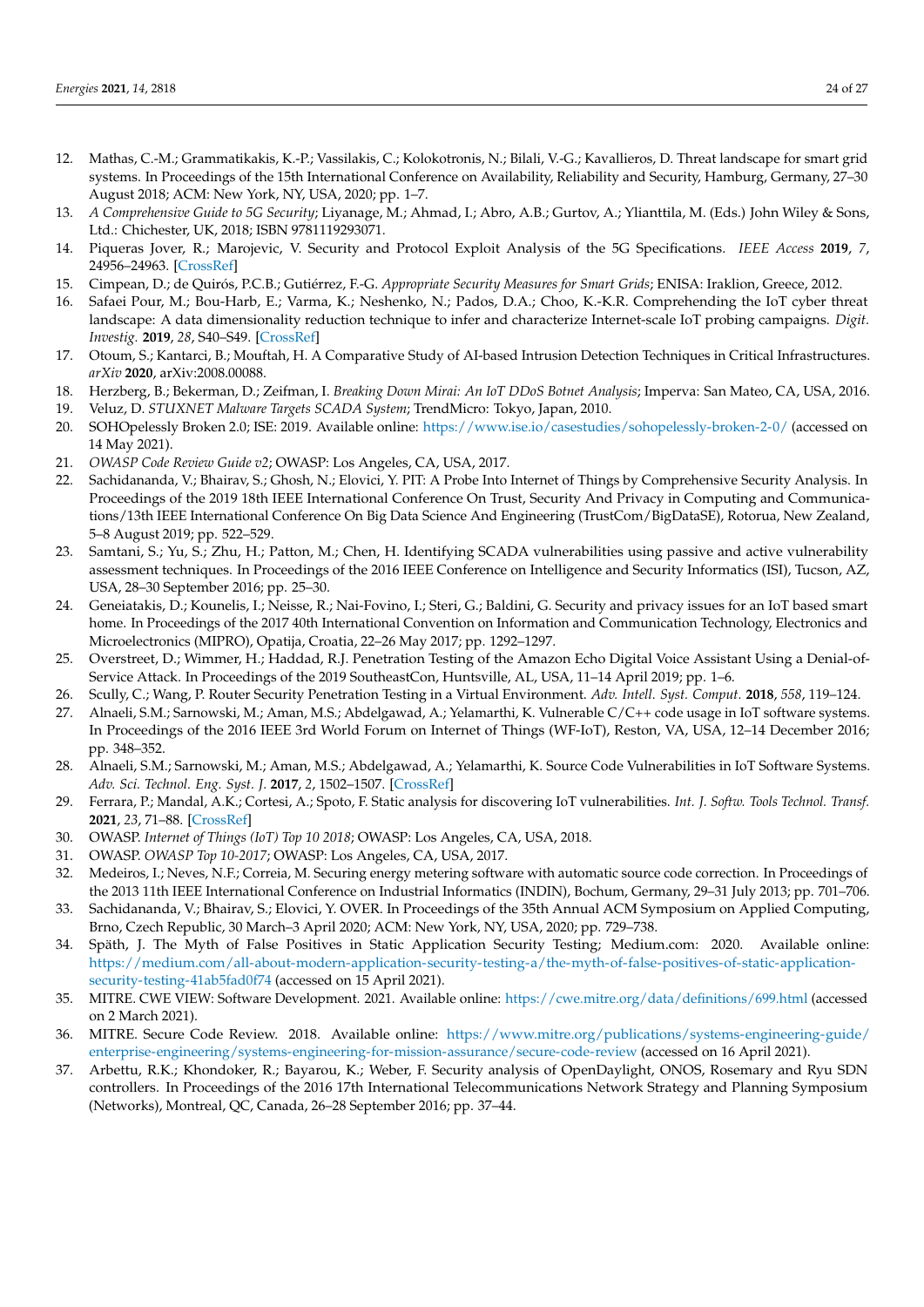- <span id="page-23-7"></span>12. Mathas, C.-M.; Grammatikakis, K.-P.; Vassilakis, C.; Kolokotronis, N.; Bilali, V.-G.; Kavallieros, D. Threat landscape for smart grid systems. In Proceedings of the 15th International Conference on Availability, Reliability and Security, Hamburg, Germany, 27–30 August 2018; ACM: New York, NY, USA, 2020; pp. 1–7.
- <span id="page-23-3"></span>13. *A Comprehensive Guide to 5G Security*; Liyanage, M.; Ahmad, I.; Abro, A.B.; Gurtov, A.; Ylianttila, M. (Eds.) John Wiley & Sons, Ltd.: Chichester, UK, 2018; ISBN 9781119293071.
- <span id="page-23-4"></span>14. Piqueras Jover, R.; Marojevic, V. Security and Protocol Exploit Analysis of the 5G Specifications. *IEEE Access* **2019**, *7*, 24956–24963. [\[CrossRef\]](http://doi.org/10.1109/ACCESS.2019.2899254)
- <span id="page-23-1"></span>15. Cimpean, D.; de Quirós, P.C.B.; Gutiérrez, F.-G. *Appropriate Security Measures for Smart Grids*; ENISA: Iraklion, Greece, 2012.
- <span id="page-23-2"></span>16. Safaei Pour, M.; Bou-Harb, E.; Varma, K.; Neshenko, N.; Pados, D.A.; Choo, K.-K.R. Comprehending the IoT cyber threat landscape: A data dimensionality reduction technique to infer and characterize Internet-scale IoT probing campaigns. *Digit. Investig.* **2019**, *28*, S40–S49. [\[CrossRef\]](http://doi.org/10.1016/j.diin.2019.01.014)
- <span id="page-23-0"></span>17. Otoum, S.; Kantarci, B.; Mouftah, H. A Comparative Study of AI-based Intrusion Detection Techniques in Critical Infrastructures. *arXiv* **2020**, arXiv:2008.00088.
- <span id="page-23-5"></span>18. Herzberg, B.; Bekerman, D.; Zeifman, I. *Breaking Down Mirai: An IoT DDoS Botnet Analysis*; Imperva: San Mateo, CA, USA, 2016.
- <span id="page-23-6"></span>19. Veluz, D. *STUXNET Malware Targets SCADA System*; TrendMicro: Tokyo, Japan, 2010.
- <span id="page-23-8"></span>20. SOHOpelessly Broken 2.0; ISE: 2019. Available online: <https://www.ise.io/casestudies/sohopelessly-broken-2-0/> (accessed on 14 May 2021).
- <span id="page-23-9"></span>21. *OWASP Code Review Guide v2*; OWASP: Los Angeles, CA, USA, 2017.
- <span id="page-23-10"></span>22. Sachidananda, V.; Bhairav, S.; Ghosh, N.; Elovici, Y. PIT: A Probe Into Internet of Things by Comprehensive Security Analysis. In Proceedings of the 2019 18th IEEE International Conference On Trust, Security And Privacy in Computing and Communications/13th IEEE International Conference On Big Data Science And Engineering (TrustCom/BigDataSE), Rotorua, New Zealand, 5–8 August 2019; pp. 522–529.
- 23. Samtani, S.; Yu, S.; Zhu, H.; Patton, M.; Chen, H. Identifying SCADA vulnerabilities using passive and active vulnerability assessment techniques. In Proceedings of the 2016 IEEE Conference on Intelligence and Security Informatics (ISI), Tucson, AZ, USA, 28–30 September 2016; pp. 25–30.
- 24. Geneiatakis, D.; Kounelis, I.; Neisse, R.; Nai-Fovino, I.; Steri, G.; Baldini, G. Security and privacy issues for an IoT based smart home. In Proceedings of the 2017 40th International Convention on Information and Communication Technology, Electronics and Microelectronics (MIPRO), Opatija, Croatia, 22–26 May 2017; pp. 1292–1297.
- 25. Overstreet, D.; Wimmer, H.; Haddad, R.J. Penetration Testing of the Amazon Echo Digital Voice Assistant Using a Denial-of-Service Attack. In Proceedings of the 2019 SoutheastCon, Huntsville, AL, USA, 11–14 April 2019; pp. 1–6.
- <span id="page-23-11"></span>26. Scully, C.; Wang, P. Router Security Penetration Testing in a Virtual Environment. *Adv. Intell. Syst. Comput.* **2018**, *558*, 119–124.
- <span id="page-23-12"></span>27. Alnaeli, S.M.; Sarnowski, M.; Aman, M.S.; Abdelgawad, A.; Yelamarthi, K. Vulnerable C/C++ code usage in IoT software systems. In Proceedings of the 2016 IEEE 3rd World Forum on Internet of Things (WF-IoT), Reston, VA, USA, 12–14 December 2016; pp. 348–352.
- <span id="page-23-13"></span>28. Alnaeli, S.M.; Sarnowski, M.; Aman, M.S.; Abdelgawad, A.; Yelamarthi, K. Source Code Vulnerabilities in IoT Software Systems. *Adv. Sci. Technol. Eng. Syst. J.* **2017**, *2*, 1502–1507. [\[CrossRef\]](http://doi.org/10.25046/aj0203188)
- <span id="page-23-14"></span>29. Ferrara, P.; Mandal, A.K.; Cortesi, A.; Spoto, F. Static analysis for discovering IoT vulnerabilities. *Int. J. Softw. Tools Technol. Transf.* **2021**, *23*, 71–88. [\[CrossRef\]](http://doi.org/10.1007/s10009-020-00592-x)
- <span id="page-23-15"></span>30. OWASP. *Internet of Things (IoT) Top 10 2018*; OWASP: Los Angeles, CA, USA, 2018.
- <span id="page-23-16"></span>31. OWASP. *OWASP Top 10-2017*; OWASP: Los Angeles, CA, USA, 2017.
- <span id="page-23-17"></span>32. Medeiros, I.; Neves, N.F.; Correia, M. Securing energy metering software with automatic source code correction. In Proceedings of the 2013 11th IEEE International Conference on Industrial Informatics (INDIN), Bochum, Germany, 29–31 July 2013; pp. 701–706.
- <span id="page-23-18"></span>33. Sachidananda, V.; Bhairav, S.; Elovici, Y. OVER. In Proceedings of the 35th Annual ACM Symposium on Applied Computing, Brno, Czech Republic, 30 March–3 April 2020; ACM: New York, NY, USA, 2020; pp. 729–738.
- <span id="page-23-19"></span>34. Späth, J. The Myth of False Positives in Static Application Security Testing; Medium.com: 2020. Available online: [https://medium.com/all-about-modern-application-security-testing-a/the-myth-of-false-positives-of-static-application](https://medium.com/all-about-modern-application-security-testing-a/the-myth-of-false-positives-of-static-application-security-testing-41ab5fad0f74)[security-testing-41ab5fad0f74](https://medium.com/all-about-modern-application-security-testing-a/the-myth-of-false-positives-of-static-application-security-testing-41ab5fad0f74) (accessed on 15 April 2021).
- <span id="page-23-20"></span>35. MITRE. CWE VIEW: Software Development. 2021. Available online: <https://cwe.mitre.org/data/definitions/699.html> (accessed on 2 March 2021).
- <span id="page-23-21"></span>36. MITRE. Secure Code Review. 2018. Available online: [https://www.mitre.org/publications/systems-engineering-guide/](https://www.mitre.org/publications/systems-engineering-guide/enterprise-engineering/systems-engineering-for-mission-assurance/secure-code-review) [enterprise-engineering/systems-engineering-for-mission-assurance/secure-code-review](https://www.mitre.org/publications/systems-engineering-guide/enterprise-engineering/systems-engineering-for-mission-assurance/secure-code-review) (accessed on 16 April 2021).
- <span id="page-23-22"></span>37. Arbettu, R.K.; Khondoker, R.; Bayarou, K.; Weber, F. Security analysis of OpenDaylight, ONOS, Rosemary and Ryu SDN controllers. In Proceedings of the 2016 17th International Telecommunications Network Strategy and Planning Symposium (Networks), Montreal, QC, Canada, 26–28 September 2016; pp. 37–44.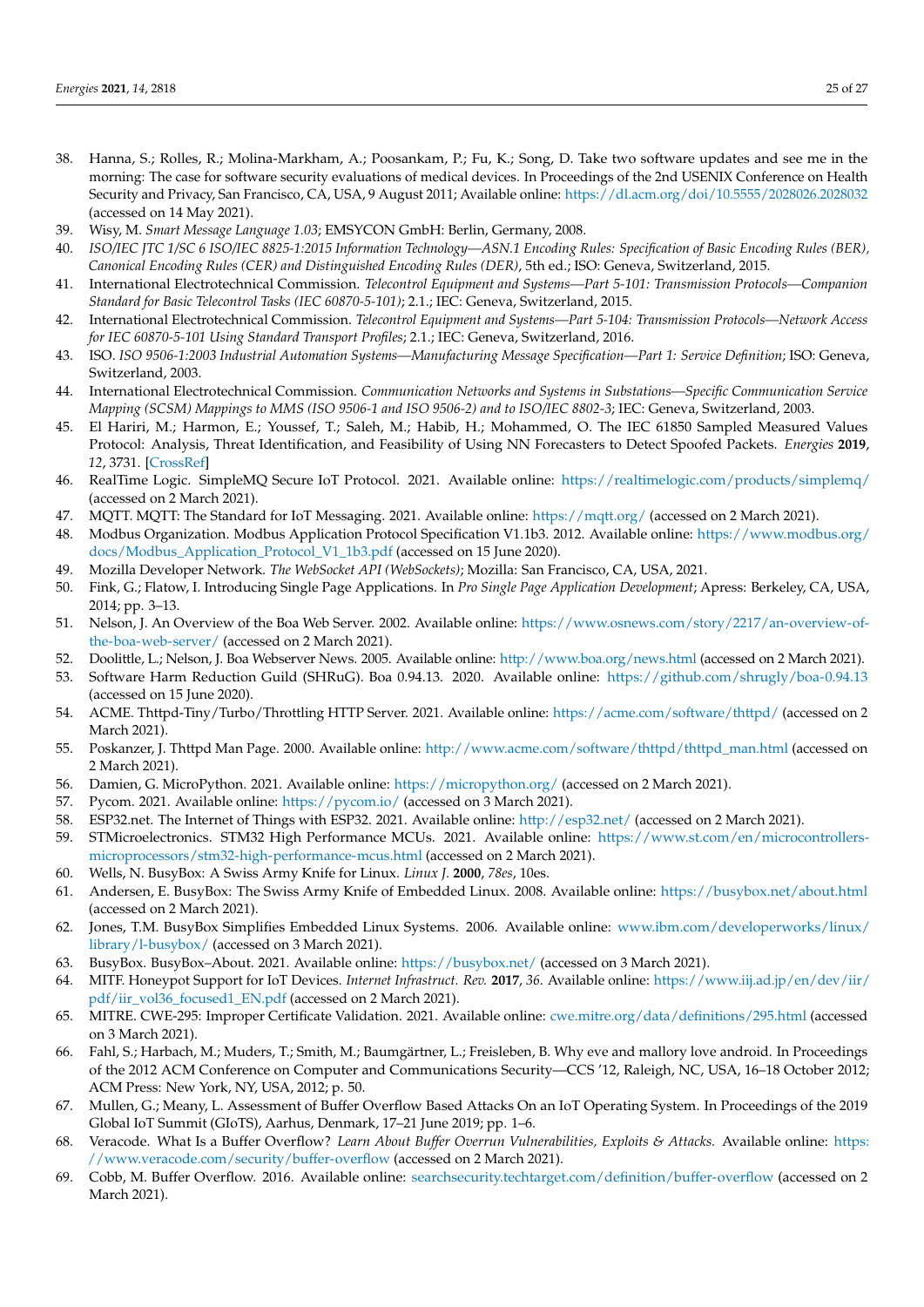- <span id="page-24-0"></span>38. Hanna, S.; Rolles, R.; Molina-Markham, A.; Poosankam, P.; Fu, K.; Song, D. Take two software updates and see me in the morning: The case for software security evaluations of medical devices. In Proceedings of the 2nd USENIX Conference on Health Security and Privacy, San Francisco, CA, USA, 9 August 2011; Available online: <https://dl.acm.org/doi/10.5555/2028026.2028032> (accessed on 14 May 2021).
- <span id="page-24-1"></span>39. Wisy, M. *Smart Message Language 1.03*; EMSYCON GmbH: Berlin, Germany, 2008.
- <span id="page-24-2"></span>40. *ISO/IEC JTC 1/SC 6 ISO/IEC 8825-1:2015 Information Technology—ASN.1 Encoding Rules: Specification of Basic Encoding Rules (BER), Canonical Encoding Rules (CER) and Distinguished Encoding Rules (DER)*, 5th ed.; ISO: Geneva, Switzerland, 2015.
- <span id="page-24-3"></span>41. International Electrotechnical Commission. *Telecontrol Equipment and Systems—Part 5-101: Transmission Protocols—Companion Standard for Basic Telecontrol Tasks (IEC 60870-5-101)*; 2.1.; IEC: Geneva, Switzerland, 2015.
- <span id="page-24-4"></span>42. International Electrotechnical Commission. *Telecontrol Equipment and Systems—Part 5-104: Transmission Protocols—Network Access for IEC 60870-5-101 Using Standard Transport Profiles*; 2.1.; IEC: Geneva, Switzerland, 2016.
- <span id="page-24-5"></span>43. ISO. *ISO 9506-1:2003 Industrial Automation Systems—Manufacturing Message Specification—Part 1: Service Definition*; ISO: Geneva, Switzerland, 2003.
- <span id="page-24-6"></span>44. International Electrotechnical Commission. *Communication Networks and Systems in Substations—Specific Communication Service Mapping (SCSM) Mappings to MMS (ISO 9506-1 and ISO 9506-2) and to ISO/IEC 8802-3*; IEC: Geneva, Switzerland, 2003.
- <span id="page-24-7"></span>45. El Hariri, M.; Harmon, E.; Youssef, T.; Saleh, M.; Habib, H.; Mohammed, O. The IEC 61850 Sampled Measured Values Protocol: Analysis, Threat Identification, and Feasibility of Using NN Forecasters to Detect Spoofed Packets. *Energies* **2019**, *12*, 3731. [\[CrossRef\]](http://doi.org/10.3390/en12193731)
- <span id="page-24-8"></span>46. RealTime Logic. SimpleMQ Secure IoT Protocol. 2021. Available online: <https://realtimelogic.com/products/simplemq/> (accessed on 2 March 2021).
- <span id="page-24-9"></span>47. MQTT. MQTT: The Standard for IoT Messaging. 2021. Available online: <https://mqtt.org/> (accessed on 2 March 2021).
- <span id="page-24-10"></span>48. Modbus Organization. Modbus Application Protocol Specification V1.1b3. 2012. Available online: [https://www.modbus.org/](https://www.modbus.org/docs/Modbus_Application_Protocol_V1_1b3.pdf) [docs/Modbus\\_Application\\_Protocol\\_V1\\_1b3.pdf](https://www.modbus.org/docs/Modbus_Application_Protocol_V1_1b3.pdf) (accessed on 15 June 2020).
- <span id="page-24-11"></span>49. Mozilla Developer Network. *The WebSocket API (WebSockets)*; Mozilla: San Francisco, CA, USA, 2021.
- <span id="page-24-12"></span>50. Fink, G.; Flatow, I. Introducing Single Page Applications. In *Pro Single Page Application Development*; Apress: Berkeley, CA, USA, 2014; pp. 3–13.
- <span id="page-24-13"></span>51. Nelson, J. An Overview of the Boa Web Server. 2002. Available online: [https://www.osnews.com/story/2217/an-overview-of](https://www.osnews.com/story/2217/an-overview-of-the-boa-web-server/)[the-boa-web-server/](https://www.osnews.com/story/2217/an-overview-of-the-boa-web-server/) (accessed on 2 March 2021).
- <span id="page-24-14"></span>52. Doolittle, L.; Nelson, J. Boa Webserver News. 2005. Available online: <http://www.boa.org/news.html> (accessed on 2 March 2021).
- <span id="page-24-15"></span>53. Software Harm Reduction Guild (SHRuG). Boa 0.94.13. 2020. Available online: <https://github.com/shrugly/boa-0.94.13> (accessed on 15 June 2020).
- <span id="page-24-16"></span>54. ACME. Thttpd-Tiny/Turbo/Throttling HTTP Server. 2021. Available online: <https://acme.com/software/thttpd/> (accessed on 2 March 2021).
- <span id="page-24-17"></span>55. Poskanzer, J. Thttpd Man Page. 2000. Available online: [http://www.acme.com/software/thttpd/thttpd\\_man.html](http://www.acme.com/software/thttpd/thttpd_man.html) (accessed on 2 March 2021).
- <span id="page-24-18"></span>56. Damien, G. MicroPython. 2021. Available online: <https://micropython.org/> (accessed on 2 March 2021).
- <span id="page-24-19"></span>57. Pycom. 2021. Available online: <https://pycom.io/> (accessed on 3 March 2021).
- <span id="page-24-20"></span>58. ESP32.net. The Internet of Things with ESP32. 2021. Available online: <http://esp32.net/> (accessed on 2 March 2021).
- <span id="page-24-21"></span>59. STMicroelectronics. STM32 High Performance MCUs. 2021. Available online: [https://www.st.com/en/microcontrollers](https://www.st.com/en/microcontrollers-microprocessors/stm32-high-performance-mcus.html)[microprocessors/stm32-high-performance-mcus.html](https://www.st.com/en/microcontrollers-microprocessors/stm32-high-performance-mcus.html) (accessed on 2 March 2021).
- <span id="page-24-22"></span>60. Wells, N. BusyBox: A Swiss Army Knife for Linux. *Linux J.* **2000**, *78es*, 10es.
- <span id="page-24-23"></span>61. Andersen, E. BusyBox: The Swiss Army Knife of Embedded Linux. 2008. Available online: <https://busybox.net/about.html> (accessed on 2 March 2021).
- <span id="page-24-24"></span>62. Jones, T.M. BusyBox Simplifies Embedded Linux Systems. 2006. Available online: [www.ibm.com/developerworks/linux/](www.ibm.com/developerworks/linux/library/l-busybox/) [library/l-busybox/](www.ibm.com/developerworks/linux/library/l-busybox/) (accessed on 3 March 2021).
- <span id="page-24-25"></span>63. BusyBox. BusyBox–About. 2021. Available online: <https://busybox.net/> (accessed on 3 March 2021).
- <span id="page-24-26"></span>64. MITF. Honeypot Support for IoT Devices. *Internet Infrastruct. Rev.* **2017**, *36*. Available online: [https://www.iij.ad.jp/en/dev/iir/](https://www.iij.ad.jp/en/dev/iir/pdf/iir_vol36_focused1_EN.pdf) [pdf/iir\\_vol36\\_focused1\\_EN.pdf](https://www.iij.ad.jp/en/dev/iir/pdf/iir_vol36_focused1_EN.pdf) (accessed on 2 March 2021).
- <span id="page-24-27"></span>65. MITRE. CWE-295: Improper Certificate Validation. 2021. Available online: <cwe.mitre.org/data/definitions/295.html> (accessed on 3 March 2021).
- <span id="page-24-28"></span>66. Fahl, S.; Harbach, M.; Muders, T.; Smith, M.; Baumgärtner, L.; Freisleben, B. Why eve and mallory love android. In Proceedings of the 2012 ACM Conference on Computer and Communications Security—CCS '12, Raleigh, NC, USA, 16–18 October 2012; ACM Press: New York, NY, USA, 2012; p. 50.
- <span id="page-24-29"></span>67. Mullen, G.; Meany, L. Assessment of Buffer Overflow Based Attacks On an IoT Operating System. In Proceedings of the 2019 Global IoT Summit (GIoTS), Aarhus, Denmark, 17–21 June 2019; pp. 1–6.
- <span id="page-24-30"></span>68. Veracode. What Is a Buffer Overflow? *Learn About Buffer Overrun Vulnerabilities, Exploits & Attacks.* Available online: [https:](https://www.veracode.com/security/buffer-overflow) [//www.veracode.com/security/buffer-overflow](https://www.veracode.com/security/buffer-overflow) (accessed on 2 March 2021).
- <span id="page-24-31"></span>69. Cobb, M. Buffer Overflow. 2016. Available online: <searchsecurity.techtarget.com/definition/buffer-overflow> (accessed on 2 March 2021).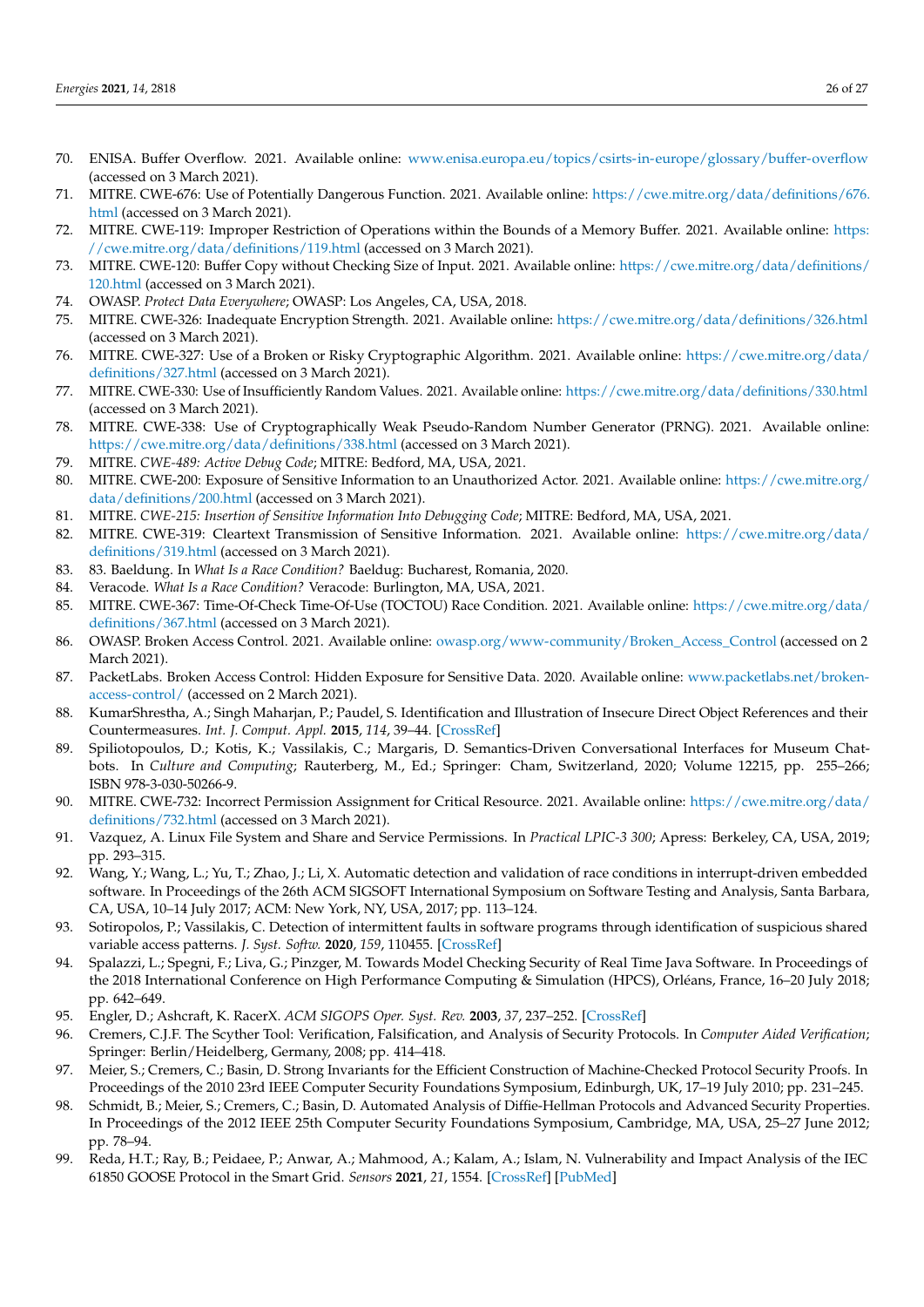- <span id="page-25-0"></span>70. ENISA. Buffer Overflow. 2021. Available online: <www.enisa.europa.eu/topics/csirts-in-europe/glossary/buffer-overflow> (accessed on 3 March 2021).
- <span id="page-25-1"></span>71. MITRE. CWE-676: Use of Potentially Dangerous Function. 2021. Available online: [https://cwe.mitre.org/data/definitions/676.](https://cwe.mitre.org/data/definitions/676.html) [html](https://cwe.mitre.org/data/definitions/676.html) (accessed on 3 March 2021).
- <span id="page-25-2"></span>72. MITRE. CWE-119: Improper Restriction of Operations within the Bounds of a Memory Buffer. 2021. Available online: [https:](https://cwe.mitre.org/data/definitions/119.html) [//cwe.mitre.org/data/definitions/119.html](https://cwe.mitre.org/data/definitions/119.html) (accessed on 3 March 2021).
- <span id="page-25-3"></span>73. MITRE. CWE-120: Buffer Copy without Checking Size of Input. 2021. Available online: [https://cwe.mitre.org/data/definitions/](https://cwe.mitre.org/data/definitions/120.html) [120.html](https://cwe.mitre.org/data/definitions/120.html) (accessed on 3 March 2021).
- <span id="page-25-4"></span>74. OWASP. *Protect Data Everywhere*; OWASP: Los Angeles, CA, USA, 2018.
- <span id="page-25-5"></span>75. MITRE. CWE-326: Inadequate Encryption Strength. 2021. Available online: <https://cwe.mitre.org/data/definitions/326.html> (accessed on 3 March 2021).
- <span id="page-25-6"></span>76. MITRE. CWE-327: Use of a Broken or Risky Cryptographic Algorithm. 2021. Available online: [https://cwe.mitre.org/data/](https://cwe.mitre.org/data/definitions/327.html) [definitions/327.html](https://cwe.mitre.org/data/definitions/327.html) (accessed on 3 March 2021).
- <span id="page-25-7"></span>77. MITRE. CWE-330: Use of Insufficiently Random Values. 2021. Available online: <https://cwe.mitre.org/data/definitions/330.html> (accessed on 3 March 2021).
- <span id="page-25-8"></span>78. MITRE. CWE-338: Use of Cryptographically Weak Pseudo-Random Number Generator (PRNG). 2021. Available online: <https://cwe.mitre.org/data/definitions/338.html> (accessed on 3 March 2021).
- <span id="page-25-9"></span>79. MITRE. *CWE-489: Active Debug Code*; MITRE: Bedford, MA, USA, 2021.
- <span id="page-25-10"></span>80. MITRE. CWE-200: Exposure of Sensitive Information to an Unauthorized Actor. 2021. Available online: [https://cwe.mitre.org/](https://cwe.mitre.org/data/definitions/200.html) [data/definitions/200.html](https://cwe.mitre.org/data/definitions/200.html) (accessed on 3 March 2021).
- <span id="page-25-11"></span>81. MITRE. *CWE-215: Insertion of Sensitive Information Into Debugging Code*; MITRE: Bedford, MA, USA, 2021.
- <span id="page-25-12"></span>82. MITRE. CWE-319: Cleartext Transmission of Sensitive Information. 2021. Available online: [https://cwe.mitre.org/data/](https://cwe.mitre.org/data/definitions/319.html) [definitions/319.html](https://cwe.mitre.org/data/definitions/319.html) (accessed on 3 March 2021).
- <span id="page-25-13"></span>83. 83. Baeldung. In *What Is a Race Condition?* Baeldug: Bucharest, Romania, 2020.
- <span id="page-25-14"></span>84. Veracode. *What Is a Race Condition?* Veracode: Burlington, MA, USA, 2021.
- <span id="page-25-15"></span>85. MITRE. CWE-367: Time-Of-Check Time-Of-Use (TOCTOU) Race Condition. 2021. Available online: [https://cwe.mitre.org/data/](https://cwe.mitre.org/data/definitions/367.html) [definitions/367.html](https://cwe.mitre.org/data/definitions/367.html) (accessed on 3 March 2021).
- <span id="page-25-16"></span>86. OWASP. Broken Access Control. 2021. Available online: [owasp.org/www-community/Broken\\_Access\\_Control](owasp.org/www-community/Broken_Access_Control) (accessed on 2 March 2021).
- <span id="page-25-17"></span>87. PacketLabs. Broken Access Control: Hidden Exposure for Sensitive Data. 2020. Available online: [www.packetlabs.net/broken](www.packetlabs.net/broken-access-control/)[access-control/](www.packetlabs.net/broken-access-control/) (accessed on 2 March 2021).
- <span id="page-25-18"></span>88. KumarShrestha, A.; Singh Maharjan, P.; Paudel, S. Identification and Illustration of Insecure Direct Object References and their Countermeasures. *Int. J. Comput. Appl.* **2015**, *114*, 39–44. [\[CrossRef\]](http://doi.org/10.5120/20082-2148)
- <span id="page-25-19"></span>89. Spiliotopoulos, D.; Kotis, K.; Vassilakis, C.; Margaris, D. Semantics-Driven Conversational Interfaces for Museum Chatbots. In *Culture and Computing*; Rauterberg, M., Ed.; Springer: Cham, Switzerland, 2020; Volume 12215, pp. 255–266; ISBN 978-3-030-50266-9.
- <span id="page-25-20"></span>90. MITRE. CWE-732: Incorrect Permission Assignment for Critical Resource. 2021. Available online: [https://cwe.mitre.org/data/](https://cwe.mitre.org/data/definitions/732.html) [definitions/732.html](https://cwe.mitre.org/data/definitions/732.html) (accessed on 3 March 2021).
- <span id="page-25-21"></span>91. Vazquez, A. Linux File System and Share and Service Permissions. In *Practical LPIC-3 300*; Apress: Berkeley, CA, USA, 2019; pp. 293–315.
- <span id="page-25-22"></span>92. Wang, Y.; Wang, L.; Yu, T.; Zhao, J.; Li, X. Automatic detection and validation of race conditions in interrupt-driven embedded software. In Proceedings of the 26th ACM SIGSOFT International Symposium on Software Testing and Analysis, Santa Barbara, CA, USA, 10–14 July 2017; ACM: New York, NY, USA, 2017; pp. 113–124.
- <span id="page-25-23"></span>93. Sotiropolos, P.; Vassilakis, C. Detection of intermittent faults in software programs through identification of suspicious shared variable access patterns. *J. Syst. Softw.* **2020**, *159*, 110455. [\[CrossRef\]](http://doi.org/10.1016/j.jss.2019.110455)
- 94. Spalazzi, L.; Spegni, F.; Liva, G.; Pinzger, M. Towards Model Checking Security of Real Time Java Software. In Proceedings of the 2018 International Conference on High Performance Computing & Simulation (HPCS), Orléans, France, 16–20 July 2018; pp. 642–649.
- <span id="page-25-24"></span>95. Engler, D.; Ashcraft, K. RacerX. *ACM SIGOPS Oper. Syst. Rev.* **2003**, *37*, 237–252. [\[CrossRef\]](http://doi.org/10.1145/1165389.945468)
- <span id="page-25-25"></span>96. Cremers, C.J.F. The Scyther Tool: Verification, Falsification, and Analysis of Security Protocols. In *Computer Aided Verification*; Springer: Berlin/Heidelberg, Germany, 2008; pp. 414–418.
- <span id="page-25-26"></span>97. Meier, S.; Cremers, C.; Basin, D. Strong Invariants for the Efficient Construction of Machine-Checked Protocol Security Proofs. In Proceedings of the 2010 23rd IEEE Computer Security Foundations Symposium, Edinburgh, UK, 17–19 July 2010; pp. 231–245.
- <span id="page-25-27"></span>98. Schmidt, B.; Meier, S.; Cremers, C.; Basin, D. Automated Analysis of Diffie-Hellman Protocols and Advanced Security Properties. In Proceedings of the 2012 IEEE 25th Computer Security Foundations Symposium, Cambridge, MA, USA, 25–27 June 2012; pp. 78–94.
- <span id="page-25-28"></span>99. Reda, H.T.; Ray, B.; Peidaee, P.; Anwar, A.; Mahmood, A.; Kalam, A.; Islam, N. Vulnerability and Impact Analysis of the IEC 61850 GOOSE Protocol in the Smart Grid. *Sensors* **2021**, *21*, 1554. [\[CrossRef\]](http://doi.org/10.3390/s21041554) [\[PubMed\]](http://www.ncbi.nlm.nih.gov/pubmed/33672360)